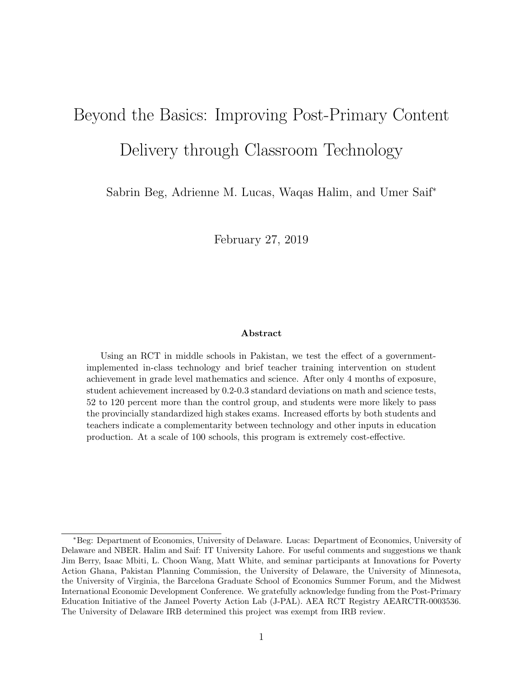# Beyond the Basics: Improving Post-Primary Content Delivery through Classroom Technology

Sabrin Beg, Adrienne M. Lucas, Waqas Halim, and Umer Saif<sup>∗</sup>

February 27, 2019

#### Abstract

Using an RCT in middle schools in Pakistan, we test the effect of a governmentimplemented in-class technology and brief teacher training intervention on student achievement in grade level mathematics and science. After only 4 months of exposure, student achievement increased by 0.2-0.3 standard deviations on math and science tests, 52 to 120 percent more than the control group, and students were more likely to pass the provincially standardized high stakes exams. Increased efforts by both students and teachers indicate a complementarity between technology and other inputs in education production. At a scale of 100 schools, this program is extremely cost-effective.

<sup>∗</sup>Beg: Department of Economics, University of Delaware. Lucas: Department of Economics, University of Delaware and NBER. Halim and Saif: IT University Lahore. For useful comments and suggestions we thank Jim Berry, Isaac Mbiti, L. Choon Wang, Matt White, and seminar participants at Innovations for Poverty Action Ghana, Pakistan Planning Commission, the University of Delaware, the University of Minnesota, the University of Virginia, the Barcelona Graduate School of Economics Summer Forum, and the Midwest International Economic Development Conference. We gratefully acknowledge funding from the Post-Primary Education Initiative of the Jameel Poverty Action Lab (J-PAL). AEA RCT Registry AEARCTR-0003536. The University of Delaware IRB determined this project was exempt from IRB review.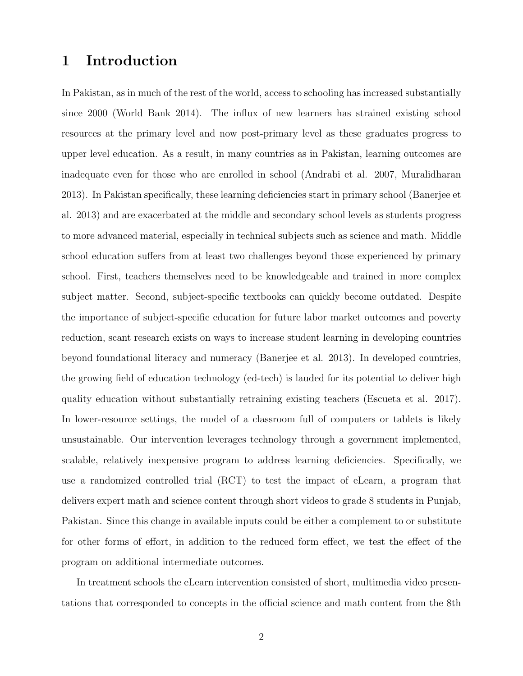# 1 Introduction

In Pakistan, as in much of the rest of the world, access to schooling has increased substantially since 2000 (World Bank 2014). The influx of new learners has strained existing school resources at the primary level and now post-primary level as these graduates progress to upper level education. As a result, in many countries as in Pakistan, learning outcomes are inadequate even for those who are enrolled in school (Andrabi et al. 2007, Muralidharan 2013). In Pakistan specifically, these learning deficiencies start in primary school (Banerjee et al. 2013) and are exacerbated at the middle and secondary school levels as students progress to more advanced material, especially in technical subjects such as science and math. Middle school education suffers from at least two challenges beyond those experienced by primary school. First, teachers themselves need to be knowledgeable and trained in more complex subject matter. Second, subject-specific textbooks can quickly become outdated. Despite the importance of subject-specific education for future labor market outcomes and poverty reduction, scant research exists on ways to increase student learning in developing countries beyond foundational literacy and numeracy (Banerjee et al. 2013). In developed countries, the growing field of education technology (ed-tech) is lauded for its potential to deliver high quality education without substantially retraining existing teachers (Escueta et al. 2017). In lower-resource settings, the model of a classroom full of computers or tablets is likely unsustainable. Our intervention leverages technology through a government implemented, scalable, relatively inexpensive program to address learning deficiencies. Specifically, we use a randomized controlled trial (RCT) to test the impact of eLearn, a program that delivers expert math and science content through short videos to grade 8 students in Punjab, Pakistan. Since this change in available inputs could be either a complement to or substitute for other forms of effort, in addition to the reduced form effect, we test the effect of the program on additional intermediate outcomes.

In treatment schools the eLearn intervention consisted of short, multimedia video presentations that corresponded to concepts in the official science and math content from the 8th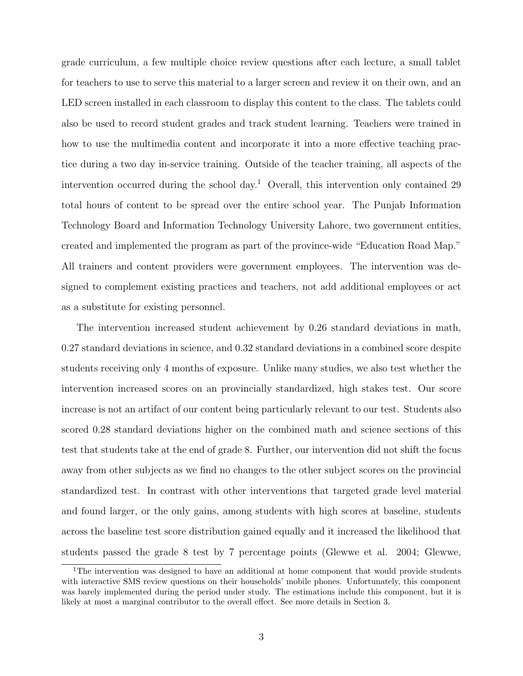grade curriculum, a few multiple choice review questions after each lecture, a small tablet for teachers to use to serve this material to a larger screen and review it on their own, and an LED screen installed in each classroom to display this content to the class. The tablets could also be used to record student grades and track student learning. Teachers were trained in how to use the multimedia content and incorporate it into a more effective teaching practice during a two day in-service training. Outside of the teacher training, all aspects of the intervention occurred during the school day.<sup>1</sup> Overall, this intervention only contained 29 total hours of content to be spread over the entire school year. The Punjab Information Technology Board and Information Technology University Lahore, two government entities, created and implemented the program as part of the province-wide "Education Road Map." All trainers and content providers were government employees. The intervention was designed to complement existing practices and teachers, not add additional employees or act as a substitute for existing personnel.

The intervention increased student achievement by 0.26 standard deviations in math, 0.27 standard deviations in science, and 0.32 standard deviations in a combined score despite students receiving only 4 months of exposure. Unlike many studies, we also test whether the intervention increased scores on an provincially standardized, high stakes test. Our score increase is not an artifact of our content being particularly relevant to our test. Students also scored 0.28 standard deviations higher on the combined math and science sections of this test that students take at the end of grade 8. Further, our intervention did not shift the focus away from other subjects as we find no changes to the other subject scores on the provincial standardized test. In contrast with other interventions that targeted grade level material and found larger, or the only gains, among students with high scores at baseline, students across the baseline test score distribution gained equally and it increased the likelihood that students passed the grade 8 test by 7 percentage points (Glewwe et al. 2004; Glewwe,

<sup>&</sup>lt;sup>1</sup>The intervention was designed to have an additional at home component that would provide students with interactive SMS review questions on their households' mobile phones. Unfortunately, this component was barely implemented during the period under study. The estimations include this component, but it is likely at most a marginal contributor to the overall effect. See more details in Section 3.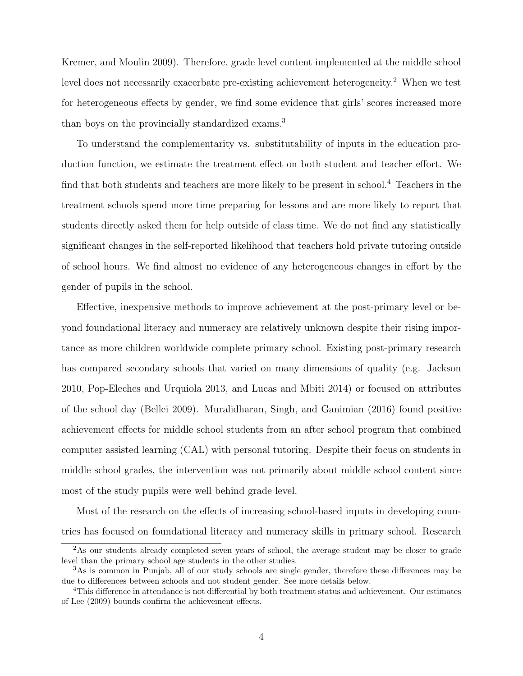Kremer, and Moulin 2009). Therefore, grade level content implemented at the middle school level does not necessarily exacerbate pre-existing achievement heterogeneity.<sup>2</sup> When we test for heterogeneous effects by gender, we find some evidence that girls' scores increased more than boys on the provincially standardized exams.<sup>3</sup>

To understand the complementarity vs. substitutability of inputs in the education production function, we estimate the treatment effect on both student and teacher effort. We find that both students and teachers are more likely to be present in school.<sup>4</sup> Teachers in the treatment schools spend more time preparing for lessons and are more likely to report that students directly asked them for help outside of class time. We do not find any statistically significant changes in the self-reported likelihood that teachers hold private tutoring outside of school hours. We find almost no evidence of any heterogeneous changes in effort by the gender of pupils in the school.

Effective, inexpensive methods to improve achievement at the post-primary level or beyond foundational literacy and numeracy are relatively unknown despite their rising importance as more children worldwide complete primary school. Existing post-primary research has compared secondary schools that varied on many dimensions of quality (e.g. Jackson 2010, Pop-Eleches and Urquiola 2013, and Lucas and Mbiti 2014) or focused on attributes of the school day (Bellei 2009). Muralidharan, Singh, and Ganimian (2016) found positive achievement effects for middle school students from an after school program that combined computer assisted learning (CAL) with personal tutoring. Despite their focus on students in middle school grades, the intervention was not primarily about middle school content since most of the study pupils were well behind grade level.

Most of the research on the effects of increasing school-based inputs in developing countries has focused on foundational literacy and numeracy skills in primary school. Research

<sup>&</sup>lt;sup>2</sup>As our students already completed seven years of school, the average student may be closer to grade level than the primary school age students in the other studies.

<sup>3</sup>As is common in Punjab, all of our study schools are single gender, therefore these differences may be due to differences between schools and not student gender. See more details below.

<sup>4</sup>This difference in attendance is not differential by both treatment status and achievement. Our estimates of Lee (2009) bounds confirm the achievement effects.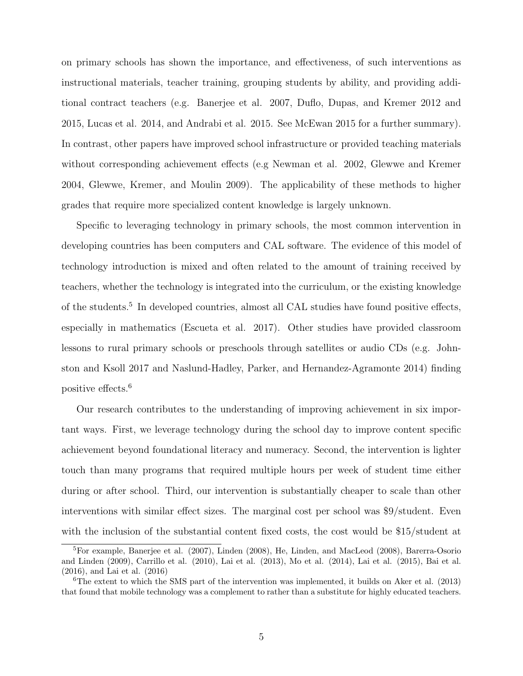on primary schools has shown the importance, and effectiveness, of such interventions as instructional materials, teacher training, grouping students by ability, and providing additional contract teachers (e.g. Banerjee et al. 2007, Duflo, Dupas, and Kremer 2012 and 2015, Lucas et al. 2014, and Andrabi et al. 2015. See McEwan 2015 for a further summary). In contrast, other papers have improved school infrastructure or provided teaching materials without corresponding achievement effects (e.g Newman et al. 2002, Glewwe and Kremer 2004, Glewwe, Kremer, and Moulin 2009). The applicability of these methods to higher grades that require more specialized content knowledge is largely unknown.

Specific to leveraging technology in primary schools, the most common intervention in developing countries has been computers and CAL software. The evidence of this model of technology introduction is mixed and often related to the amount of training received by teachers, whether the technology is integrated into the curriculum, or the existing knowledge of the students.<sup>5</sup> In developed countries, almost all CAL studies have found positive effects, especially in mathematics (Escueta et al. 2017). Other studies have provided classroom lessons to rural primary schools or preschools through satellites or audio CDs (e.g. Johnston and Ksoll 2017 and Naslund-Hadley, Parker, and Hernandez-Agramonte 2014) finding positive effects.<sup>6</sup>

Our research contributes to the understanding of improving achievement in six important ways. First, we leverage technology during the school day to improve content specific achievement beyond foundational literacy and numeracy. Second, the intervention is lighter touch than many programs that required multiple hours per week of student time either during or after school. Third, our intervention is substantially cheaper to scale than other interventions with similar effect sizes. The marginal cost per school was \$9/student. Even with the inclusion of the substantial content fixed costs, the cost would be \$15/student at

<sup>5</sup>For example, Banerjee et al. (2007), Linden (2008), He, Linden, and MacLeod (2008), Barerra-Osorio and Linden (2009), Carrillo et al. (2010), Lai et al. (2013), Mo et al. (2014), Lai et al. (2015), Bai et al. (2016), and Lai et al. (2016)

 $6$ The extent to which the SMS part of the intervention was implemented, it builds on Aker et al. (2013) that found that mobile technology was a complement to rather than a substitute for highly educated teachers.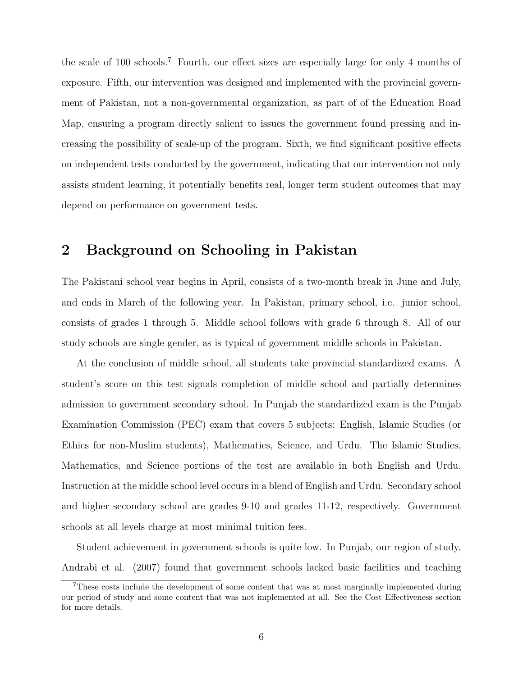the scale of 100 schools.<sup>7</sup> Fourth, our effect sizes are especially large for only 4 months of exposure. Fifth, our intervention was designed and implemented with the provincial government of Pakistan, not a non-governmental organization, as part of of the Education Road Map, ensuring a program directly salient to issues the government found pressing and increasing the possibility of scale-up of the program. Sixth, we find significant positive effects on independent tests conducted by the government, indicating that our intervention not only assists student learning, it potentially benefits real, longer term student outcomes that may depend on performance on government tests.

# 2 Background on Schooling in Pakistan

The Pakistani school year begins in April, consists of a two-month break in June and July, and ends in March of the following year. In Pakistan, primary school, i.e. junior school, consists of grades 1 through 5. Middle school follows with grade 6 through 8. All of our study schools are single gender, as is typical of government middle schools in Pakistan.

At the conclusion of middle school, all students take provincial standardized exams. A student's score on this test signals completion of middle school and partially determines admission to government secondary school. In Punjab the standardized exam is the Punjab Examination Commission (PEC) exam that covers 5 subjects: English, Islamic Studies (or Ethics for non-Muslim students), Mathematics, Science, and Urdu. The Islamic Studies, Mathematics, and Science portions of the test are available in both English and Urdu. Instruction at the middle school level occurs in a blend of English and Urdu. Secondary school and higher secondary school are grades 9-10 and grades 11-12, respectively. Government schools at all levels charge at most minimal tuition fees.

Student achievement in government schools is quite low. In Punjab, our region of study, Andrabi et al. (2007) found that government schools lacked basic facilities and teaching

<sup>&</sup>lt;sup>7</sup>These costs include the development of some content that was at most marginally implemented during our period of study and some content that was not implemented at all. See the Cost Effectiveness section for more details.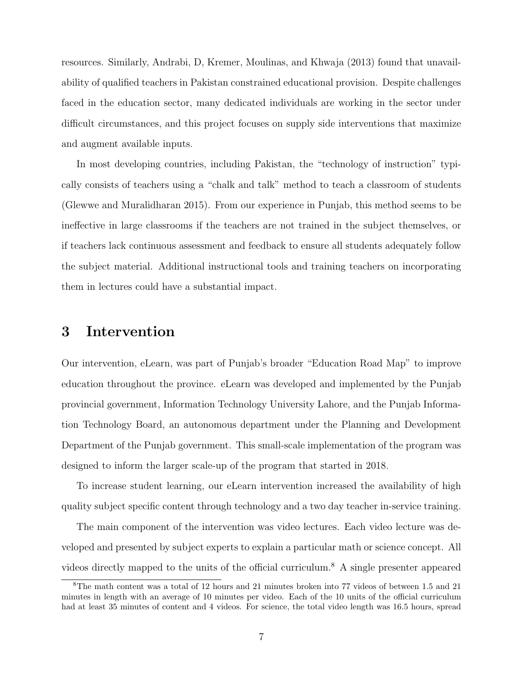resources. Similarly, Andrabi, D, Kremer, Moulinas, and Khwaja (2013) found that unavailability of qualified teachers in Pakistan constrained educational provision. Despite challenges faced in the education sector, many dedicated individuals are working in the sector under difficult circumstances, and this project focuses on supply side interventions that maximize and augment available inputs.

In most developing countries, including Pakistan, the "technology of instruction" typically consists of teachers using a "chalk and talk" method to teach a classroom of students (Glewwe and Muralidharan 2015). From our experience in Punjab, this method seems to be ineffective in large classrooms if the teachers are not trained in the subject themselves, or if teachers lack continuous assessment and feedback to ensure all students adequately follow the subject material. Additional instructional tools and training teachers on incorporating them in lectures could have a substantial impact.

# 3 Intervention

Our intervention, eLearn, was part of Punjab's broader "Education Road Map" to improve education throughout the province. eLearn was developed and implemented by the Punjab provincial government, Information Technology University Lahore, and the Punjab Information Technology Board, an autonomous department under the Planning and Development Department of the Punjab government. This small-scale implementation of the program was designed to inform the larger scale-up of the program that started in 2018.

To increase student learning, our eLearn intervention increased the availability of high quality subject specific content through technology and a two day teacher in-service training.

The main component of the intervention was video lectures. Each video lecture was developed and presented by subject experts to explain a particular math or science concept. All videos directly mapped to the units of the official curriculum.<sup>8</sup> A single presenter appeared

<sup>8</sup>The math content was a total of 12 hours and 21 minutes broken into 77 videos of between 1.5 and 21 minutes in length with an average of 10 minutes per video. Each of the 10 units of the official curriculum had at least 35 minutes of content and 4 videos. For science, the total video length was 16.5 hours, spread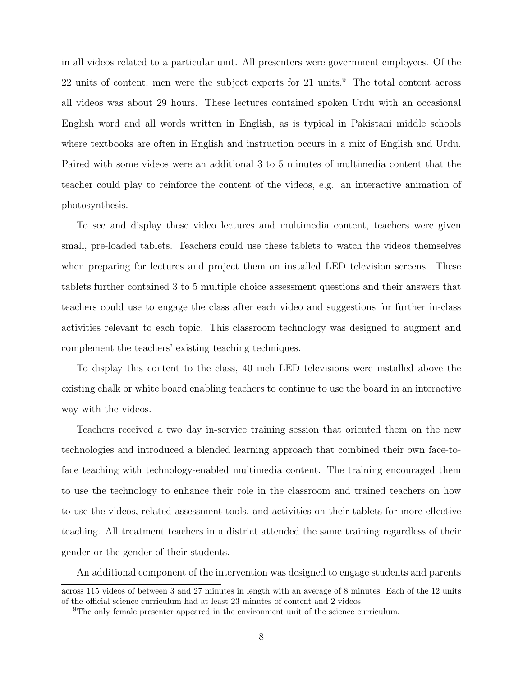in all videos related to a particular unit. All presenters were government employees. Of the 22 units of content, men were the subject experts for 21 units.<sup>9</sup> The total content across all videos was about 29 hours. These lectures contained spoken Urdu with an occasional English word and all words written in English, as is typical in Pakistani middle schools where textbooks are often in English and instruction occurs in a mix of English and Urdu. Paired with some videos were an additional 3 to 5 minutes of multimedia content that the teacher could play to reinforce the content of the videos, e.g. an interactive animation of photosynthesis.

To see and display these video lectures and multimedia content, teachers were given small, pre-loaded tablets. Teachers could use these tablets to watch the videos themselves when preparing for lectures and project them on installed LED television screens. These tablets further contained 3 to 5 multiple choice assessment questions and their answers that teachers could use to engage the class after each video and suggestions for further in-class activities relevant to each topic. This classroom technology was designed to augment and complement the teachers' existing teaching techniques.

To display this content to the class, 40 inch LED televisions were installed above the existing chalk or white board enabling teachers to continue to use the board in an interactive way with the videos.

Teachers received a two day in-service training session that oriented them on the new technologies and introduced a blended learning approach that combined their own face-toface teaching with technology-enabled multimedia content. The training encouraged them to use the technology to enhance their role in the classroom and trained teachers on how to use the videos, related assessment tools, and activities on their tablets for more effective teaching. All treatment teachers in a district attended the same training regardless of their gender or the gender of their students.

An additional component of the intervention was designed to engage students and parents

across 115 videos of between 3 and 27 minutes in length with an average of 8 minutes. Each of the 12 units of the official science curriculum had at least 23 minutes of content and 2 videos.

<sup>9</sup>The only female presenter appeared in the environment unit of the science curriculum.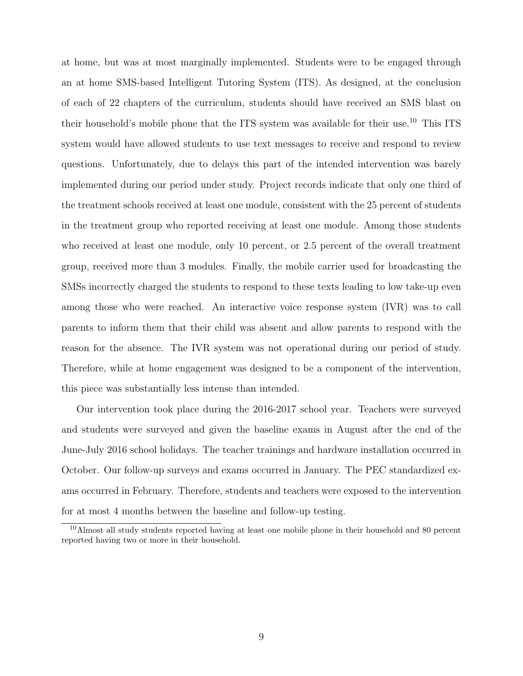at home, but was at most marginally implemented. Students were to be engaged through an at home SMS-based Intelligent Tutoring System (ITS). As designed, at the conclusion of each of 22 chapters of the curriculum, students should have received an SMS blast on their household's mobile phone that the ITS system was available for their use.<sup>10</sup> This ITS system would have allowed students to use text messages to receive and respond to review questions. Unfortunately, due to delays this part of the intended intervention was barely implemented during our period under study. Project records indicate that only one third of the treatment schools received at least one module, consistent with the 25 percent of students in the treatment group who reported receiving at least one module. Among those students who received at least one module, only 10 percent, or 2.5 percent of the overall treatment group, received more than 3 modules. Finally, the mobile carrier used for broadcasting the SMSs incorrectly charged the students to respond to these texts leading to low take-up even among those who were reached. An interactive voice response system (IVR) was to call parents to inform them that their child was absent and allow parents to respond with the reason for the absence. The IVR system was not operational during our period of study. Therefore, while at home engagement was designed to be a component of the intervention, this piece was substantially less intense than intended.

Our intervention took place during the 2016-2017 school year. Teachers were surveyed and students were surveyed and given the baseline exams in August after the end of the June-July 2016 school holidays. The teacher trainings and hardware installation occurred in October. Our follow-up surveys and exams occurred in January. The PEC standardized exams occurred in February. Therefore, students and teachers were exposed to the intervention for at most 4 months between the baseline and follow-up testing.

<sup>10</sup>Almost all study students reported having at least one mobile phone in their household and 80 percent reported having two or more in their household.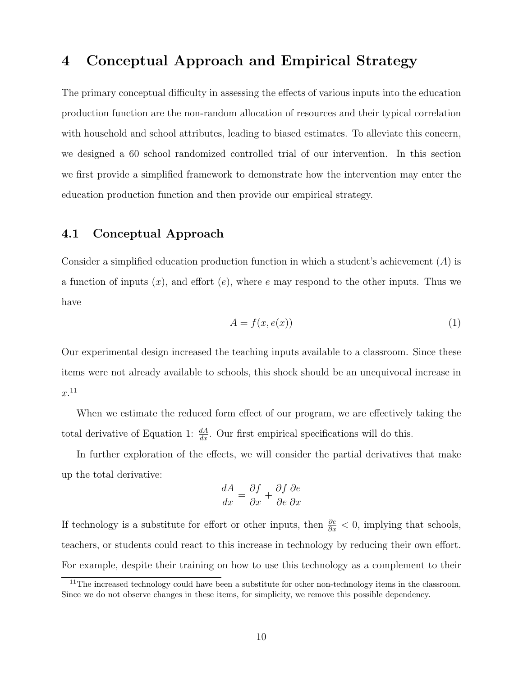# 4 Conceptual Approach and Empirical Strategy

The primary conceptual difficulty in assessing the effects of various inputs into the education production function are the non-random allocation of resources and their typical correlation with household and school attributes, leading to biased estimates. To alleviate this concern, we designed a 60 school randomized controlled trial of our intervention. In this section we first provide a simplified framework to demonstrate how the intervention may enter the education production function and then provide our empirical strategy.

## 4.1 Conceptual Approach

Consider a simplified education production function in which a student's achievement (A) is a function of inputs  $(x)$ , and effort  $(e)$ , where e may respond to the other inputs. Thus we have

$$
A = f(x, e(x))
$$
\n<sup>(1)</sup>

Our experimental design increased the teaching inputs available to a classroom. Since these items were not already available to schools, this shock should be an unequivocal increase in  $x<sup>.11</sup>$ 

When we estimate the reduced form effect of our program, we are effectively taking the total derivative of Equation 1:  $\frac{dA}{dx}$ . Our first empirical specifications will do this.

In further exploration of the effects, we will consider the partial derivatives that make up the total derivative:

$$
\frac{dA}{dx} = \frac{\partial f}{\partial x} + \frac{\partial f}{\partial e} \frac{\partial e}{\partial x}
$$

If technology is a substitute for effort or other inputs, then  $\frac{\partial e}{\partial x} < 0$ , implying that schools, teachers, or students could react to this increase in technology by reducing their own effort. For example, despite their training on how to use this technology as a complement to their

 $11$ The increased technology could have been a substitute for other non-technology items in the classroom. Since we do not observe changes in these items, for simplicity, we remove this possible dependency.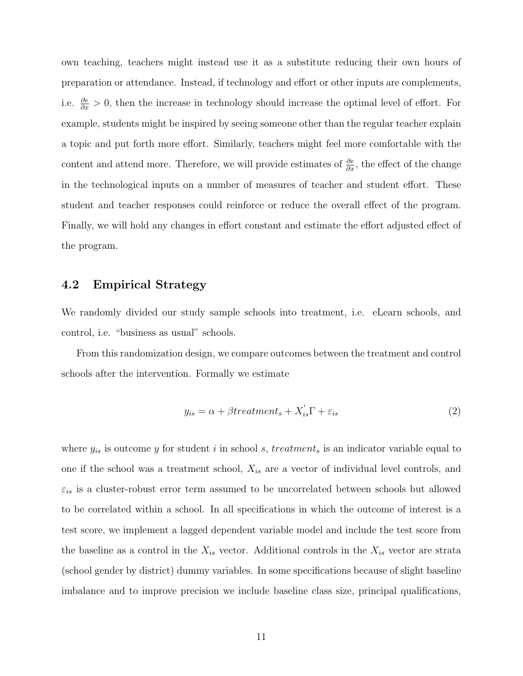own teaching, teachers might instead use it as a substitute reducing their own hours of preparation or attendance. Instead, if technology and effort or other inputs are complements, i.e.  $\frac{\partial e}{\partial x} > 0$ , then the increase in technology should increase the optimal level of effort. For example, students might be inspired by seeing someone other than the regular teacher explain a topic and put forth more effort. Similarly, teachers might feel more comfortable with the content and attend more. Therefore, we will provide estimates of  $\frac{\partial e}{\partial x}$ , the effect of the change in the technological inputs on a number of measures of teacher and student effort. These student and teacher responses could reinforce or reduce the overall effect of the program. Finally, we will hold any changes in effort constant and estimate the effort adjusted effect of the program.

## 4.2 Empirical Strategy

We randomly divided our study sample schools into treatment, i.e. eLearn schools, and control, i.e. "business as usual" schools.

From this randomization design, we compare outcomes between the treatment and control schools after the intervention. Formally we estimate

$$
y_{is} = \alpha + \beta treatment_s + X'_{is} \Gamma + \varepsilon_{is}
$$
\n<sup>(2)</sup>

where  $y_{is}$  is outcome y for student i in school s, treatment<sub>s</sub> is an indicator variable equal to one if the school was a treatment school,  $X_{is}$  are a vector of individual level controls, and  $\varepsilon_{is}$  is a cluster-robust error term assumed to be uncorrelated between schools but allowed to be correlated within a school. In all specifications in which the outcome of interest is a test score, we implement a lagged dependent variable model and include the test score from the baseline as a control in the  $X_{is}$  vector. Additional controls in the  $X_{is}$  vector are strata (school gender by district) dummy variables. In some specifications because of slight baseline imbalance and to improve precision we include baseline class size, principal qualifications,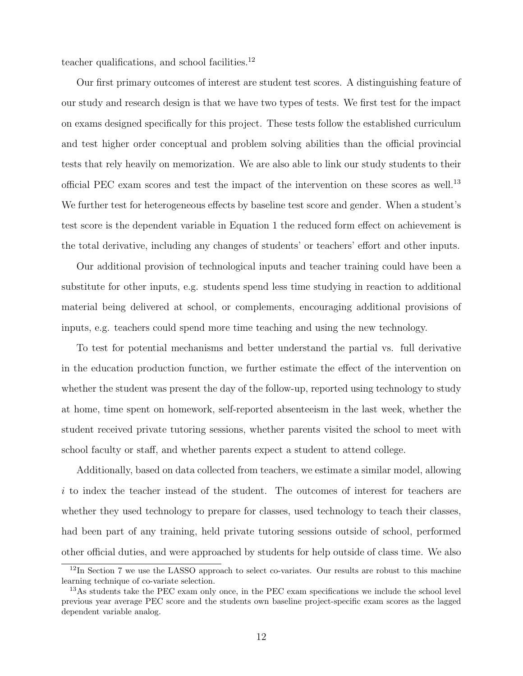teacher qualifications, and school facilities. $^{12}$ 

Our first primary outcomes of interest are student test scores. A distinguishing feature of our study and research design is that we have two types of tests. We first test for the impact on exams designed specifically for this project. These tests follow the established curriculum and test higher order conceptual and problem solving abilities than the official provincial tests that rely heavily on memorization. We are also able to link our study students to their official PEC exam scores and test the impact of the intervention on these scores as well.<sup>13</sup> We further test for heterogeneous effects by baseline test score and gender. When a student's test score is the dependent variable in Equation 1 the reduced form effect on achievement is the total derivative, including any changes of students' or teachers' effort and other inputs.

Our additional provision of technological inputs and teacher training could have been a substitute for other inputs, e.g. students spend less time studying in reaction to additional material being delivered at school, or complements, encouraging additional provisions of inputs, e.g. teachers could spend more time teaching and using the new technology.

To test for potential mechanisms and better understand the partial vs. full derivative in the education production function, we further estimate the effect of the intervention on whether the student was present the day of the follow-up, reported using technology to study at home, time spent on homework, self-reported absenteeism in the last week, whether the student received private tutoring sessions, whether parents visited the school to meet with school faculty or staff, and whether parents expect a student to attend college.

Additionally, based on data collected from teachers, we estimate a similar model, allowing i to index the teacher instead of the student. The outcomes of interest for teachers are whether they used technology to prepare for classes, used technology to teach their classes, had been part of any training, held private tutoring sessions outside of school, performed other official duties, and were approached by students for help outside of class time. We also

 $12\text{In Section 7 we use the LASSO approach to select co-variates. Our results are robust to this machine.}$ learning technique of co-variate selection.

<sup>&</sup>lt;sup>13</sup>As students take the PEC exam only once, in the PEC exam specifications we include the school level previous year average PEC score and the students own baseline project-specific exam scores as the lagged dependent variable analog.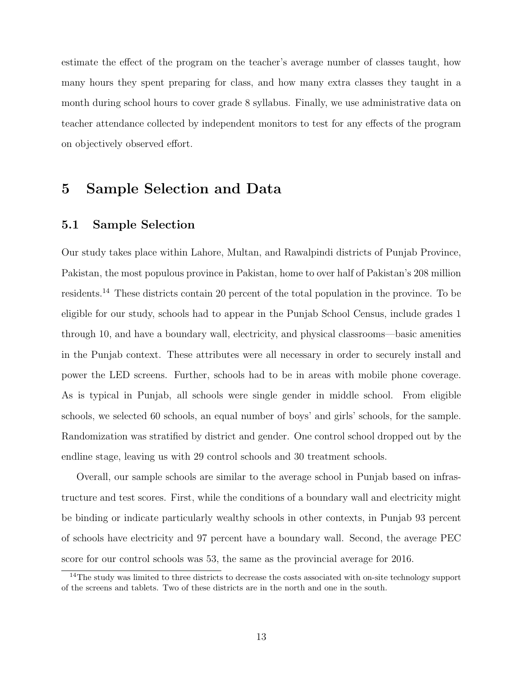estimate the effect of the program on the teacher's average number of classes taught, how many hours they spent preparing for class, and how many extra classes they taught in a month during school hours to cover grade 8 syllabus. Finally, we use administrative data on teacher attendance collected by independent monitors to test for any effects of the program on objectively observed effort.

# 5 Sample Selection and Data

## 5.1 Sample Selection

Our study takes place within Lahore, Multan, and Rawalpindi districts of Punjab Province, Pakistan, the most populous province in Pakistan, home to over half of Pakistan's 208 million residents.<sup>14</sup> These districts contain 20 percent of the total population in the province. To be eligible for our study, schools had to appear in the Punjab School Census, include grades 1 through 10, and have a boundary wall, electricity, and physical classrooms—basic amenities in the Punjab context. These attributes were all necessary in order to securely install and power the LED screens. Further, schools had to be in areas with mobile phone coverage. As is typical in Punjab, all schools were single gender in middle school. From eligible schools, we selected 60 schools, an equal number of boys' and girls' schools, for the sample. Randomization was stratified by district and gender. One control school dropped out by the endline stage, leaving us with 29 control schools and 30 treatment schools.

Overall, our sample schools are similar to the average school in Punjab based on infrastructure and test scores. First, while the conditions of a boundary wall and electricity might be binding or indicate particularly wealthy schools in other contexts, in Punjab 93 percent of schools have electricity and 97 percent have a boundary wall. Second, the average PEC score for our control schools was 53, the same as the provincial average for 2016.

<sup>&</sup>lt;sup>14</sup>The study was limited to three districts to decrease the costs associated with on-site technology support of the screens and tablets. Two of these districts are in the north and one in the south.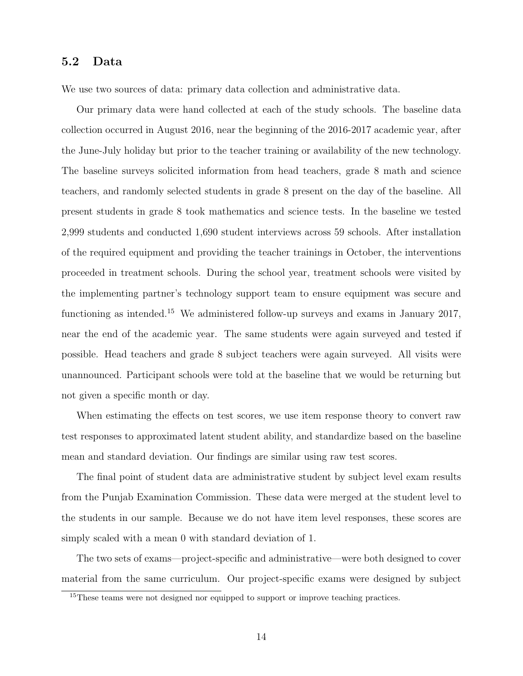## 5.2 Data

We use two sources of data: primary data collection and administrative data.

Our primary data were hand collected at each of the study schools. The baseline data collection occurred in August 2016, near the beginning of the 2016-2017 academic year, after the June-July holiday but prior to the teacher training or availability of the new technology. The baseline surveys solicited information from head teachers, grade 8 math and science teachers, and randomly selected students in grade 8 present on the day of the baseline. All present students in grade 8 took mathematics and science tests. In the baseline we tested 2,999 students and conducted 1,690 student interviews across 59 schools. After installation of the required equipment and providing the teacher trainings in October, the interventions proceeded in treatment schools. During the school year, treatment schools were visited by the implementing partner's technology support team to ensure equipment was secure and functioning as intended.<sup>15</sup> We administered follow-up surveys and exams in January 2017, near the end of the academic year. The same students were again surveyed and tested if possible. Head teachers and grade 8 subject teachers were again surveyed. All visits were unannounced. Participant schools were told at the baseline that we would be returning but not given a specific month or day.

When estimating the effects on test scores, we use item response theory to convert raw test responses to approximated latent student ability, and standardize based on the baseline mean and standard deviation. Our findings are similar using raw test scores.

The final point of student data are administrative student by subject level exam results from the Punjab Examination Commission. These data were merged at the student level to the students in our sample. Because we do not have item level responses, these scores are simply scaled with a mean 0 with standard deviation of 1.

The two sets of exams—project-specific and administrative—were both designed to cover material from the same curriculum. Our project-specific exams were designed by subject

<sup>&</sup>lt;sup>15</sup>These teams were not designed nor equipped to support or improve teaching practices.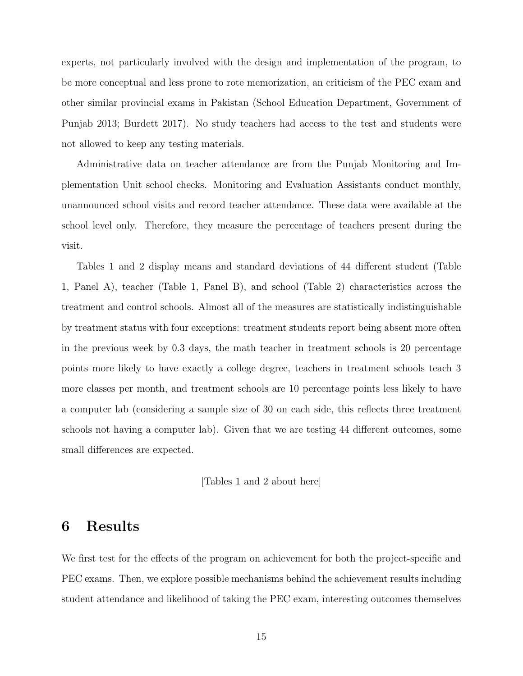experts, not particularly involved with the design and implementation of the program, to be more conceptual and less prone to rote memorization, an criticism of the PEC exam and other similar provincial exams in Pakistan (School Education Department, Government of Punjab 2013; Burdett 2017). No study teachers had access to the test and students were not allowed to keep any testing materials.

Administrative data on teacher attendance are from the Punjab Monitoring and Implementation Unit school checks. Monitoring and Evaluation Assistants conduct monthly, unannounced school visits and record teacher attendance. These data were available at the school level only. Therefore, they measure the percentage of teachers present during the visit.

Tables 1 and 2 display means and standard deviations of 44 different student (Table 1, Panel A), teacher (Table 1, Panel B), and school (Table 2) characteristics across the treatment and control schools. Almost all of the measures are statistically indistinguishable by treatment status with four exceptions: treatment students report being absent more often in the previous week by 0.3 days, the math teacher in treatment schools is 20 percentage points more likely to have exactly a college degree, teachers in treatment schools teach 3 more classes per month, and treatment schools are 10 percentage points less likely to have a computer lab (considering a sample size of 30 on each side, this reflects three treatment schools not having a computer lab). Given that we are testing 44 different outcomes, some small differences are expected.

[Tables 1 and 2 about here]

# 6 Results

We first test for the effects of the program on achievement for both the project-specific and PEC exams. Then, we explore possible mechanisms behind the achievement results including student attendance and likelihood of taking the PEC exam, interesting outcomes themselves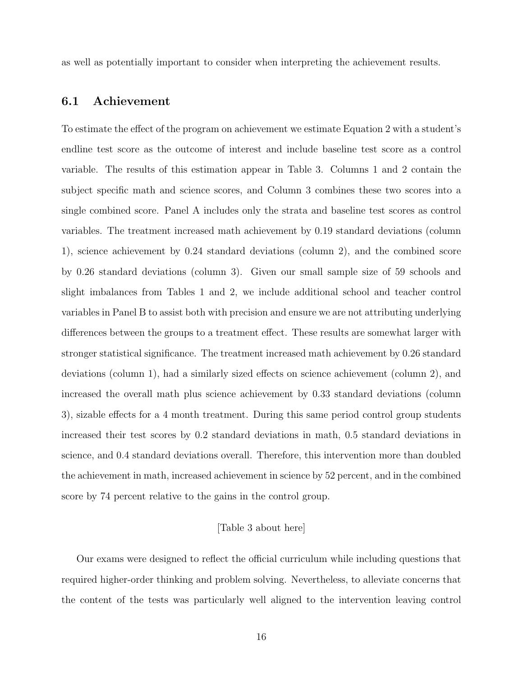as well as potentially important to consider when interpreting the achievement results.

## 6.1 Achievement

To estimate the effect of the program on achievement we estimate Equation 2 with a student's endline test score as the outcome of interest and include baseline test score as a control variable. The results of this estimation appear in Table 3. Columns 1 and 2 contain the subject specific math and science scores, and Column 3 combines these two scores into a single combined score. Panel A includes only the strata and baseline test scores as control variables. The treatment increased math achievement by 0.19 standard deviations (column 1), science achievement by 0.24 standard deviations (column 2), and the combined score by 0.26 standard deviations (column 3). Given our small sample size of 59 schools and slight imbalances from Tables 1 and 2, we include additional school and teacher control variables in Panel B to assist both with precision and ensure we are not attributing underlying differences between the groups to a treatment effect. These results are somewhat larger with stronger statistical significance. The treatment increased math achievement by 0.26 standard deviations (column 1), had a similarly sized effects on science achievement (column 2), and increased the overall math plus science achievement by 0.33 standard deviations (column 3), sizable effects for a 4 month treatment. During this same period control group students increased their test scores by 0.2 standard deviations in math, 0.5 standard deviations in science, and 0.4 standard deviations overall. Therefore, this intervention more than doubled the achievement in math, increased achievement in science by 52 percent, and in the combined score by 74 percent relative to the gains in the control group.

#### [Table 3 about here]

Our exams were designed to reflect the official curriculum while including questions that required higher-order thinking and problem solving. Nevertheless, to alleviate concerns that the content of the tests was particularly well aligned to the intervention leaving control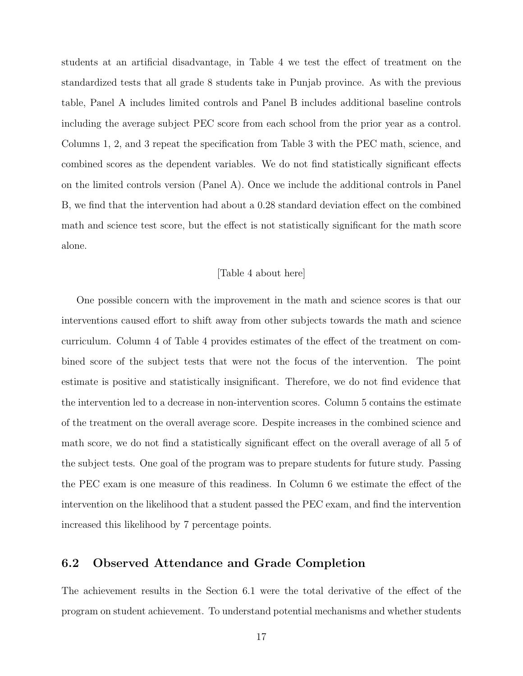students at an artificial disadvantage, in Table 4 we test the effect of treatment on the standardized tests that all grade 8 students take in Punjab province. As with the previous table, Panel A includes limited controls and Panel B includes additional baseline controls including the average subject PEC score from each school from the prior year as a control. Columns 1, 2, and 3 repeat the specification from Table 3 with the PEC math, science, and combined scores as the dependent variables. We do not find statistically significant effects on the limited controls version (Panel A). Once we include the additional controls in Panel B, we find that the intervention had about a 0.28 standard deviation effect on the combined math and science test score, but the effect is not statistically significant for the math score alone.

#### [Table 4 about here]

One possible concern with the improvement in the math and science scores is that our interventions caused effort to shift away from other subjects towards the math and science curriculum. Column 4 of Table 4 provides estimates of the effect of the treatment on combined score of the subject tests that were not the focus of the intervention. The point estimate is positive and statistically insignificant. Therefore, we do not find evidence that the intervention led to a decrease in non-intervention scores. Column 5 contains the estimate of the treatment on the overall average score. Despite increases in the combined science and math score, we do not find a statistically significant effect on the overall average of all 5 of the subject tests. One goal of the program was to prepare students for future study. Passing the PEC exam is one measure of this readiness. In Column 6 we estimate the effect of the intervention on the likelihood that a student passed the PEC exam, and find the intervention increased this likelihood by 7 percentage points.

## 6.2 Observed Attendance and Grade Completion

The achievement results in the Section 6.1 were the total derivative of the effect of the program on student achievement. To understand potential mechanisms and whether students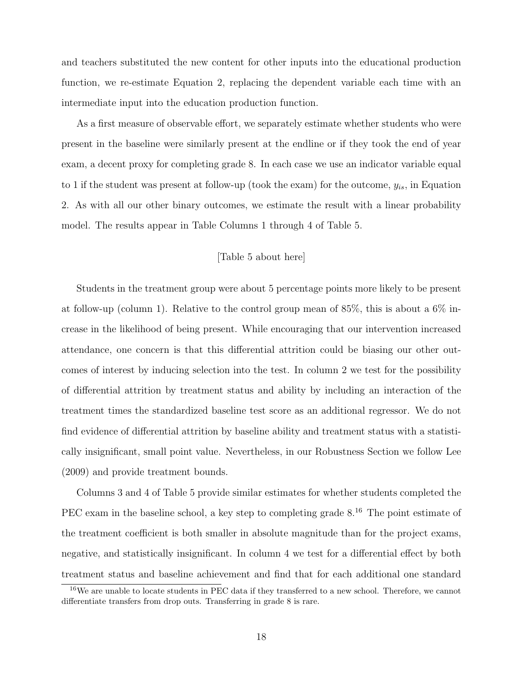and teachers substituted the new content for other inputs into the educational production function, we re-estimate Equation 2, replacing the dependent variable each time with an intermediate input into the education production function.

As a first measure of observable effort, we separately estimate whether students who were present in the baseline were similarly present at the endline or if they took the end of year exam, a decent proxy for completing grade 8. In each case we use an indicator variable equal to 1 if the student was present at follow-up (took the exam) for the outcome,  $y_{is}$ , in Equation 2. As with all our other binary outcomes, we estimate the result with a linear probability model. The results appear in Table Columns 1 through 4 of Table 5.

### [Table 5 about here]

Students in the treatment group were about 5 percentage points more likely to be present at follow-up (column 1). Relative to the control group mean of 85%, this is about a 6% increase in the likelihood of being present. While encouraging that our intervention increased attendance, one concern is that this differential attrition could be biasing our other outcomes of interest by inducing selection into the test. In column 2 we test for the possibility of differential attrition by treatment status and ability by including an interaction of the treatment times the standardized baseline test score as an additional regressor. We do not find evidence of differential attrition by baseline ability and treatment status with a statistically insignificant, small point value. Nevertheless, in our Robustness Section we follow Lee (2009) and provide treatment bounds.

Columns 3 and 4 of Table 5 provide similar estimates for whether students completed the PEC exam in the baseline school, a key step to completing grade  $8^{16}$ . The point estimate of the treatment coefficient is both smaller in absolute magnitude than for the project exams, negative, and statistically insignificant. In column 4 we test for a differential effect by both treatment status and baseline achievement and find that for each additional one standard

<sup>&</sup>lt;sup>16</sup>We are unable to locate students in PEC data if they transferred to a new school. Therefore, we cannot differentiate transfers from drop outs. Transferring in grade 8 is rare.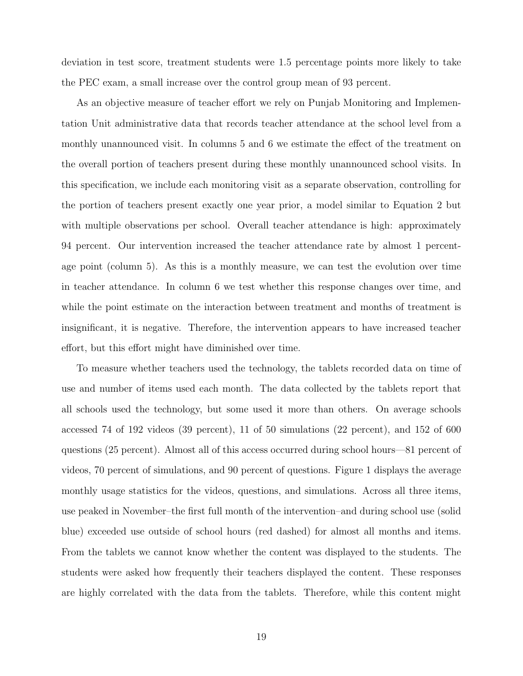deviation in test score, treatment students were 1.5 percentage points more likely to take the PEC exam, a small increase over the control group mean of 93 percent.

As an objective measure of teacher effort we rely on Punjab Monitoring and Implementation Unit administrative data that records teacher attendance at the school level from a monthly unannounced visit. In columns 5 and 6 we estimate the effect of the treatment on the overall portion of teachers present during these monthly unannounced school visits. In this specification, we include each monitoring visit as a separate observation, controlling for the portion of teachers present exactly one year prior, a model similar to Equation 2 but with multiple observations per school. Overall teacher attendance is high: approximately 94 percent. Our intervention increased the teacher attendance rate by almost 1 percentage point (column 5). As this is a monthly measure, we can test the evolution over time in teacher attendance. In column 6 we test whether this response changes over time, and while the point estimate on the interaction between treatment and months of treatment is insignificant, it is negative. Therefore, the intervention appears to have increased teacher effort, but this effort might have diminished over time.

To measure whether teachers used the technology, the tablets recorded data on time of use and number of items used each month. The data collected by the tablets report that all schools used the technology, but some used it more than others. On average schools accessed 74 of 192 videos (39 percent), 11 of 50 simulations (22 percent), and 152 of 600 questions (25 percent). Almost all of this access occurred during school hours—81 percent of videos, 70 percent of simulations, and 90 percent of questions. Figure 1 displays the average monthly usage statistics for the videos, questions, and simulations. Across all three items, use peaked in November–the first full month of the intervention–and during school use (solid blue) exceeded use outside of school hours (red dashed) for almost all months and items. From the tablets we cannot know whether the content was displayed to the students. The students were asked how frequently their teachers displayed the content. These responses are highly correlated with the data from the tablets. Therefore, while this content might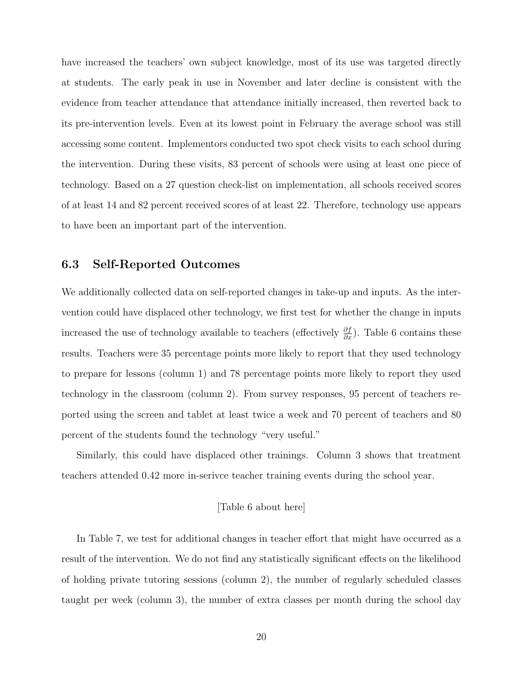have increased the teachers' own subject knowledge, most of its use was targeted directly at students. The early peak in use in November and later decline is consistent with the evidence from teacher attendance that attendance initially increased, then reverted back to its pre-intervention levels. Even at its lowest point in February the average school was still accessing some content. Implementors conducted two spot check visits to each school during the intervention. During these visits, 83 percent of schools were using at least one piece of technology. Based on a 27 question check-list on implementation, all schools received scores of at least 14 and 82 percent received scores of at least 22. Therefore, technology use appears to have been an important part of the intervention.

## 6.3 Self-Reported Outcomes

We additionally collected data on self-reported changes in take-up and inputs. As the intervention could have displaced other technology, we first test for whether the change in inputs increased the use of technology available to teachers (effectively  $\frac{\partial f}{\partial x}$ ). Table 6 contains these results. Teachers were 35 percentage points more likely to report that they used technology to prepare for lessons (column 1) and 78 percentage points more likely to report they used technology in the classroom (column 2). From survey responses, 95 percent of teachers reported using the screen and tablet at least twice a week and 70 percent of teachers and 80 percent of the students found the technology "very useful."

Similarly, this could have displaced other trainings. Column 3 shows that treatment teachers attended 0.42 more in-serivce teacher training events during the school year.

#### [Table 6 about here]

In Table 7, we test for additional changes in teacher effort that might have occurred as a result of the intervention. We do not find any statistically significant effects on the likelihood of holding private tutoring sessions (column 2), the number of regularly scheduled classes taught per week (column 3), the number of extra classes per month during the school day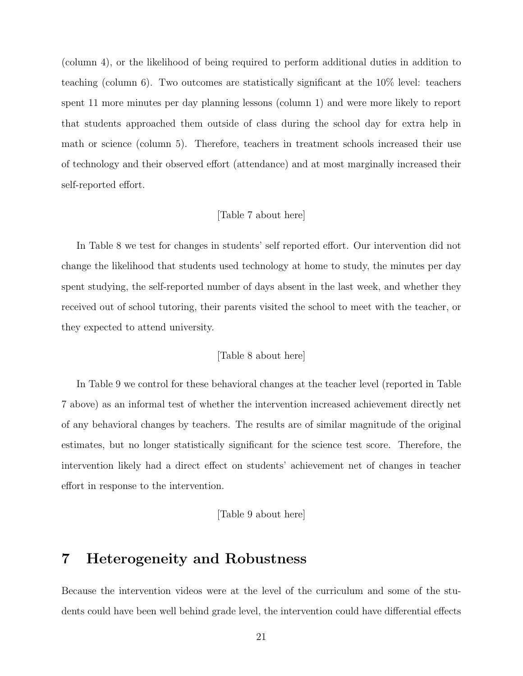(column 4), or the likelihood of being required to perform additional duties in addition to teaching (column 6). Two outcomes are statistically significant at the 10% level: teachers spent 11 more minutes per day planning lessons (column 1) and were more likely to report that students approached them outside of class during the school day for extra help in math or science (column 5). Therefore, teachers in treatment schools increased their use of technology and their observed effort (attendance) and at most marginally increased their self-reported effort.

#### [Table 7 about here]

In Table 8 we test for changes in students' self reported effort. Our intervention did not change the likelihood that students used technology at home to study, the minutes per day spent studying, the self-reported number of days absent in the last week, and whether they received out of school tutoring, their parents visited the school to meet with the teacher, or they expected to attend university.

### [Table 8 about here]

In Table 9 we control for these behavioral changes at the teacher level (reported in Table 7 above) as an informal test of whether the intervention increased achievement directly net of any behavioral changes by teachers. The results are of similar magnitude of the original estimates, but no longer statistically significant for the science test score. Therefore, the intervention likely had a direct effect on students' achievement net of changes in teacher effort in response to the intervention.

[Table 9 about here]

# 7 Heterogeneity and Robustness

Because the intervention videos were at the level of the curriculum and some of the students could have been well behind grade level, the intervention could have differential effects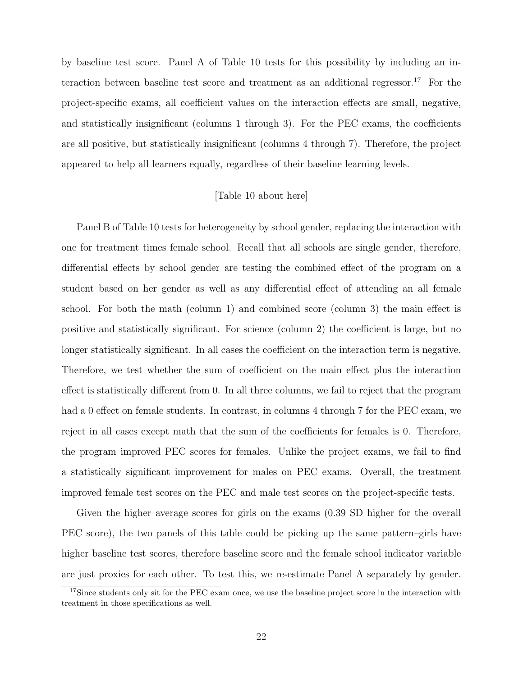by baseline test score. Panel A of Table 10 tests for this possibility by including an interaction between baseline test score and treatment as an additional regressor.<sup>17</sup> For the project-specific exams, all coefficient values on the interaction effects are small, negative, and statistically insignificant (columns 1 through 3). For the PEC exams, the coefficients are all positive, but statistically insignificant (columns 4 through 7). Therefore, the project appeared to help all learners equally, regardless of their baseline learning levels.

#### [Table 10 about here]

Panel B of Table 10 tests for heterogeneity by school gender, replacing the interaction with one for treatment times female school. Recall that all schools are single gender, therefore, differential effects by school gender are testing the combined effect of the program on a student based on her gender as well as any differential effect of attending an all female school. For both the math (column 1) and combined score (column 3) the main effect is positive and statistically significant. For science (column 2) the coefficient is large, but no longer statistically significant. In all cases the coefficient on the interaction term is negative. Therefore, we test whether the sum of coefficient on the main effect plus the interaction effect is statistically different from 0. In all three columns, we fail to reject that the program had a 0 effect on female students. In contrast, in columns 4 through 7 for the PEC exam, we reject in all cases except math that the sum of the coefficients for females is 0. Therefore, the program improved PEC scores for females. Unlike the project exams, we fail to find a statistically significant improvement for males on PEC exams. Overall, the treatment improved female test scores on the PEC and male test scores on the project-specific tests.

Given the higher average scores for girls on the exams (0.39 SD higher for the overall PEC score), the two panels of this table could be picking up the same pattern–girls have higher baseline test scores, therefore baseline score and the female school indicator variable are just proxies for each other. To test this, we re-estimate Panel A separately by gender.

<sup>&</sup>lt;sup>17</sup>Since students only sit for the PEC exam once, we use the baseline project score in the interaction with treatment in those specifications as well.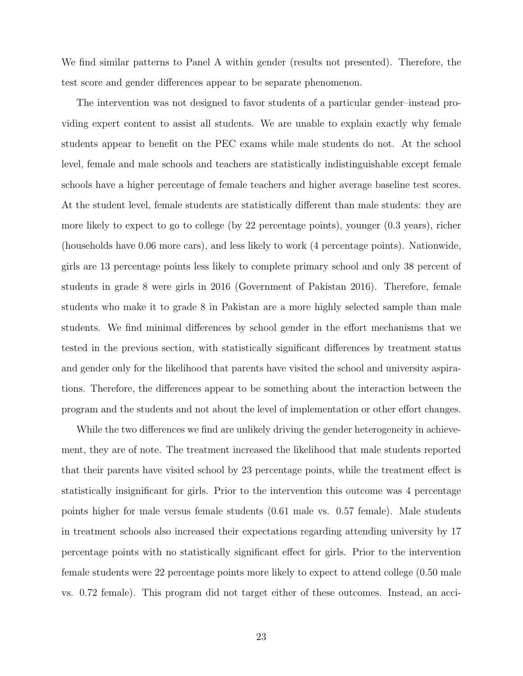We find similar patterns to Panel A within gender (results not presented). Therefore, the test score and gender differences appear to be separate phenomenon.

The intervention was not designed to favor students of a particular gender–instead providing expert content to assist all students. We are unable to explain exactly why female students appear to benefit on the PEC exams while male students do not. At the school level, female and male schools and teachers are statistically indistinguishable except female schools have a higher percentage of female teachers and higher average baseline test scores. At the student level, female students are statistically different than male students: they are more likely to expect to go to college (by 22 percentage points), younger (0.3 years), richer (households have 0.06 more cars), and less likely to work (4 percentage points). Nationwide, girls are 13 percentage points less likely to complete primary school and only 38 percent of students in grade 8 were girls in 2016 (Government of Pakistan 2016). Therefore, female students who make it to grade 8 in Pakistan are a more highly selected sample than male students. We find minimal differences by school gender in the effort mechanisms that we tested in the previous section, with statistically significant differences by treatment status and gender only for the likelihood that parents have visited the school and university aspirations. Therefore, the differences appear to be something about the interaction between the program and the students and not about the level of implementation or other effort changes.

While the two differences we find are unlikely driving the gender heterogeneity in achievement, they are of note. The treatment increased the likelihood that male students reported that their parents have visited school by 23 percentage points, while the treatment effect is statistically insignificant for girls. Prior to the intervention this outcome was 4 percentage points higher for male versus female students (0.61 male vs. 0.57 female). Male students in treatment schools also increased their expectations regarding attending university by 17 percentage points with no statistically significant effect for girls. Prior to the intervention female students were 22 percentage points more likely to expect to attend college (0.50 male vs. 0.72 female). This program did not target either of these outcomes. Instead, an acci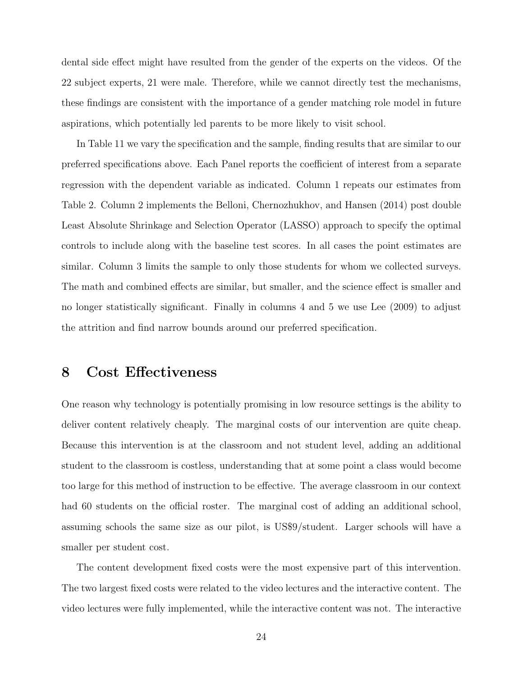dental side effect might have resulted from the gender of the experts on the videos. Of the 22 subject experts, 21 were male. Therefore, while we cannot directly test the mechanisms, these findings are consistent with the importance of a gender matching role model in future aspirations, which potentially led parents to be more likely to visit school.

In Table 11 we vary the specification and the sample, finding results that are similar to our preferred specifications above. Each Panel reports the coefficient of interest from a separate regression with the dependent variable as indicated. Column 1 repeats our estimates from Table 2. Column 2 implements the Belloni, Chernozhukhov, and Hansen (2014) post double Least Absolute Shrinkage and Selection Operator (LASSO) approach to specify the optimal controls to include along with the baseline test scores. In all cases the point estimates are similar. Column 3 limits the sample to only those students for whom we collected surveys. The math and combined effects are similar, but smaller, and the science effect is smaller and no longer statistically significant. Finally in columns 4 and 5 we use Lee (2009) to adjust the attrition and find narrow bounds around our preferred specification.

# 8 Cost Effectiveness

One reason why technology is potentially promising in low resource settings is the ability to deliver content relatively cheaply. The marginal costs of our intervention are quite cheap. Because this intervention is at the classroom and not student level, adding an additional student to the classroom is costless, understanding that at some point a class would become too large for this method of instruction to be effective. The average classroom in our context had 60 students on the official roster. The marginal cost of adding an additional school, assuming schools the same size as our pilot, is US\$9/student. Larger schools will have a smaller per student cost.

The content development fixed costs were the most expensive part of this intervention. The two largest fixed costs were related to the video lectures and the interactive content. The video lectures were fully implemented, while the interactive content was not. The interactive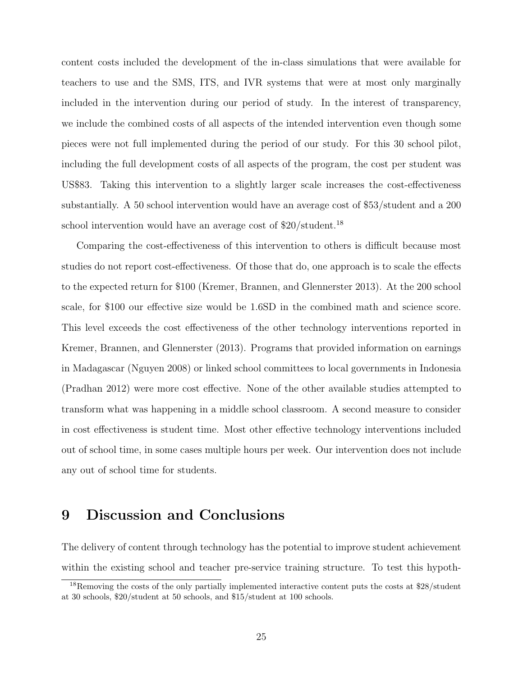content costs included the development of the in-class simulations that were available for teachers to use and the SMS, ITS, and IVR systems that were at most only marginally included in the intervention during our period of study. In the interest of transparency, we include the combined costs of all aspects of the intended intervention even though some pieces were not full implemented during the period of our study. For this 30 school pilot, including the full development costs of all aspects of the program, the cost per student was US\$83. Taking this intervention to a slightly larger scale increases the cost-effectiveness substantially. A 50 school intervention would have an average cost of \$53/student and a 200 school intervention would have an average cost of  $$20/student.<sup>18</sup>$ 

Comparing the cost-effectiveness of this intervention to others is difficult because most studies do not report cost-effectiveness. Of those that do, one approach is to scale the effects to the expected return for \$100 (Kremer, Brannen, and Glennerster 2013). At the 200 school scale, for \$100 our effective size would be 1.6SD in the combined math and science score. This level exceeds the cost effectiveness of the other technology interventions reported in Kremer, Brannen, and Glennerster (2013). Programs that provided information on earnings in Madagascar (Nguyen 2008) or linked school committees to local governments in Indonesia (Pradhan 2012) were more cost effective. None of the other available studies attempted to transform what was happening in a middle school classroom. A second measure to consider in cost effectiveness is student time. Most other effective technology interventions included out of school time, in some cases multiple hours per week. Our intervention does not include any out of school time for students.

# 9 Discussion and Conclusions

The delivery of content through technology has the potential to improve student achievement within the existing school and teacher pre-service training structure. To test this hypoth-

<sup>&</sup>lt;sup>18</sup>Removing the costs of the only partially implemented interactive content puts the costs at \$28/student at 30 schools, \$20/student at 50 schools, and \$15/student at 100 schools.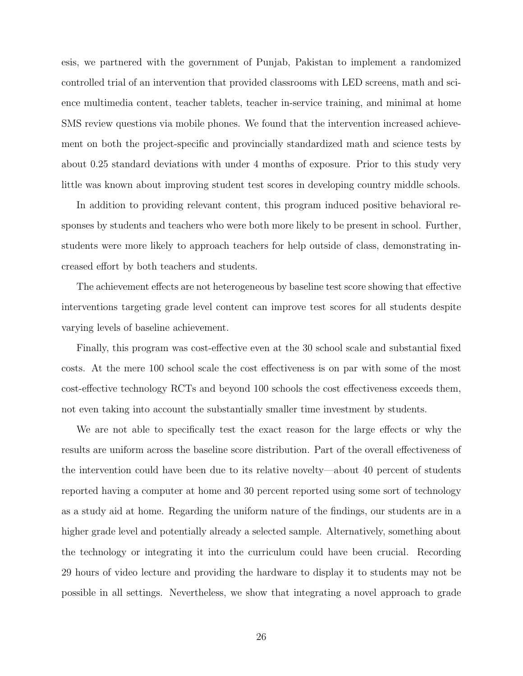esis, we partnered with the government of Punjab, Pakistan to implement a randomized controlled trial of an intervention that provided classrooms with LED screens, math and science multimedia content, teacher tablets, teacher in-service training, and minimal at home SMS review questions via mobile phones. We found that the intervention increased achievement on both the project-specific and provincially standardized math and science tests by about 0.25 standard deviations with under 4 months of exposure. Prior to this study very little was known about improving student test scores in developing country middle schools.

In addition to providing relevant content, this program induced positive behavioral responses by students and teachers who were both more likely to be present in school. Further, students were more likely to approach teachers for help outside of class, demonstrating increased effort by both teachers and students.

The achievement effects are not heterogeneous by baseline test score showing that effective interventions targeting grade level content can improve test scores for all students despite varying levels of baseline achievement.

Finally, this program was cost-effective even at the 30 school scale and substantial fixed costs. At the mere 100 school scale the cost effectiveness is on par with some of the most cost-effective technology RCTs and beyond 100 schools the cost effectiveness exceeds them, not even taking into account the substantially smaller time investment by students.

We are not able to specifically test the exact reason for the large effects or why the results are uniform across the baseline score distribution. Part of the overall effectiveness of the intervention could have been due to its relative novelty—about 40 percent of students reported having a computer at home and 30 percent reported using some sort of technology as a study aid at home. Regarding the uniform nature of the findings, our students are in a higher grade level and potentially already a selected sample. Alternatively, something about the technology or integrating it into the curriculum could have been crucial. Recording 29 hours of video lecture and providing the hardware to display it to students may not be possible in all settings. Nevertheless, we show that integrating a novel approach to grade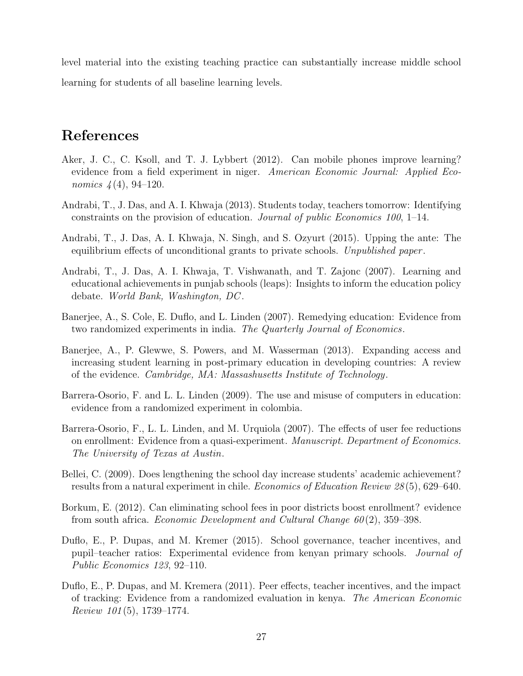level material into the existing teaching practice can substantially increase middle school learning for students of all baseline learning levels.

# References

- Aker, J. C., C. Ksoll, and T. J. Lybbert (2012). Can mobile phones improve learning? evidence from a field experiment in niger. American Economic Journal: Applied Economics  $\frac{4(4)}{94-120}$ .
- Andrabi, T., J. Das, and A. I. Khwaja (2013). Students today, teachers tomorrow: Identifying constraints on the provision of education. Journal of public Economics 100, 1–14.
- Andrabi, T., J. Das, A. I. Khwaja, N. Singh, and S. Ozyurt (2015). Upping the ante: The equilibrium effects of unconditional grants to private schools. Unpublished paper.
- Andrabi, T., J. Das, A. I. Khwaja, T. Vishwanath, and T. Zajonc (2007). Learning and educational achievements in punjab schools (leaps): Insights to inform the education policy debate. World Bank, Washington, DC .
- Banerjee, A., S. Cole, E. Duflo, and L. Linden (2007). Remedying education: Evidence from two randomized experiments in india. The Quarterly Journal of Economics.
- Banerjee, A., P. Glewwe, S. Powers, and M. Wasserman (2013). Expanding access and increasing student learning in post-primary education in developing countries: A review of the evidence. Cambridge, MA: Massashusetts Institute of Technology.
- Barrera-Osorio, F. and L. L. Linden (2009). The use and misuse of computers in education: evidence from a randomized experiment in colombia.
- Barrera-Osorio, F., L. L. Linden, and M. Urquiola (2007). The effects of user fee reductions on enrollment: Evidence from a quasi-experiment. Manuscript. Department of Economics. The University of Texas at Austin.
- Bellei, C. (2009). Does lengthening the school day increase students' academic achievement? results from a natural experiment in chile. Economics of Education Review 28 (5), 629–640.
- Borkum, E. (2012). Can eliminating school fees in poor districts boost enrollment? evidence from south africa. *Economic Development and Cultural Change 60* $(2)$ , 359–398.
- Duflo, E., P. Dupas, and M. Kremer (2015). School governance, teacher incentives, and pupil–teacher ratios: Experimental evidence from kenyan primary schools. Journal of Public Economics 123, 92–110.
- Duflo, E., P. Dupas, and M. Kremera (2011). Peer effects, teacher incentives, and the impact of tracking: Evidence from a randomized evaluation in kenya. The American Economic Review 101 (5), 1739–1774.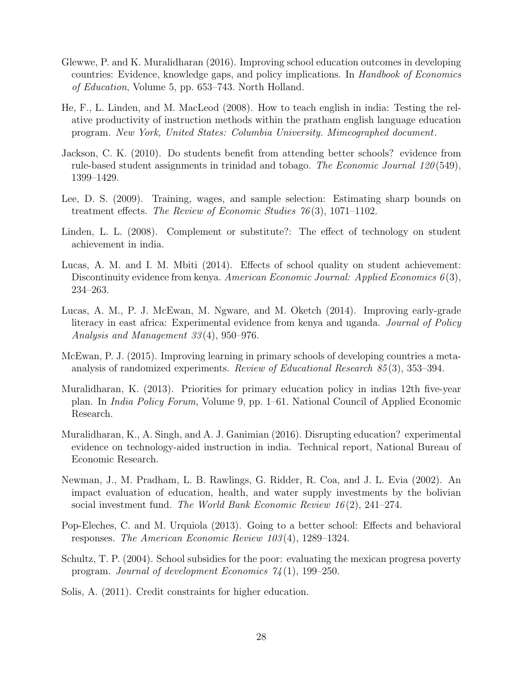- Glewwe, P. and K. Muralidharan (2016). Improving school education outcomes in developing countries: Evidence, knowledge gaps, and policy implications. In Handbook of Economics of Education, Volume 5, pp. 653–743. North Holland.
- He, F., L. Linden, and M. MacLeod (2008). How to teach english in india: Testing the relative productivity of instruction methods within the pratham english language education program. New York, United States: Columbia University. Mimeographed document.
- Jackson, C. K. (2010). Do students benefit from attending better schools? evidence from rule-based student assignments in trinidad and tobago. The Economic Journal 120 (549), 1399–1429.
- Lee, D. S. (2009). Training, wages, and sample selection: Estimating sharp bounds on treatment effects. The Review of Economic Studies  $76(3)$ , 1071–1102.
- Linden, L. L. (2008). Complement or substitute?: The effect of technology on student achievement in india.
- Lucas, A. M. and I. M. Mbiti (2014). Effects of school quality on student achievement: Discontinuity evidence from kenya. American Economic Journal: Applied Economics  $6(3)$ , 234–263.
- Lucas, A. M., P. J. McEwan, M. Ngware, and M. Oketch (2014). Improving early-grade literacy in east africa: Experimental evidence from kenya and uganda. *Journal of Policy* Analysis and Management 33 (4), 950–976.
- McEwan, P. J. (2015). Improving learning in primary schools of developing countries a metaanalysis of randomized experiments. Review of Educational Research 85 (3), 353–394.
- Muralidharan, K. (2013). Priorities for primary education policy in indias 12th five-year plan. In India Policy Forum, Volume 9, pp. 1–61. National Council of Applied Economic Research.
- Muralidharan, K., A. Singh, and A. J. Ganimian (2016). Disrupting education? experimental evidence on technology-aided instruction in india. Technical report, National Bureau of Economic Research.
- Newman, J., M. Pradham, L. B. Rawlings, G. Ridder, R. Coa, and J. L. Evia (2002). An impact evaluation of education, health, and water supply investments by the bolivian social investment fund. The World Bank Economic Review  $16(2)$ , 241–274.
- Pop-Eleches, C. and M. Urquiola (2013). Going to a better school: Effects and behavioral responses. The American Economic Review 103 (4), 1289–1324.
- Schultz, T. P. (2004). School subsidies for the poor: evaluating the mexican progresa poverty program. Journal of development Economics  $74(1)$ , 199–250.
- Solis, A. (2011). Credit constraints for higher education.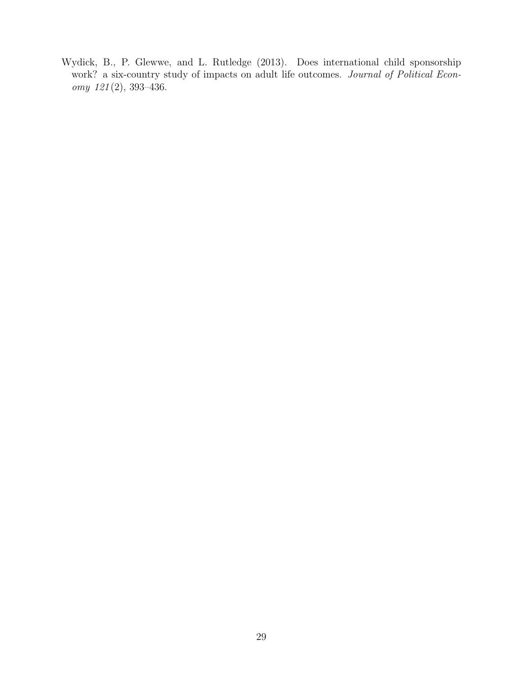Wydick, B., P. Glewwe, and L. Rutledge (2013). Does international child sponsorship work? a six-country study of impacts on adult life outcomes. Journal of Political Economy 121 (2), 393–436.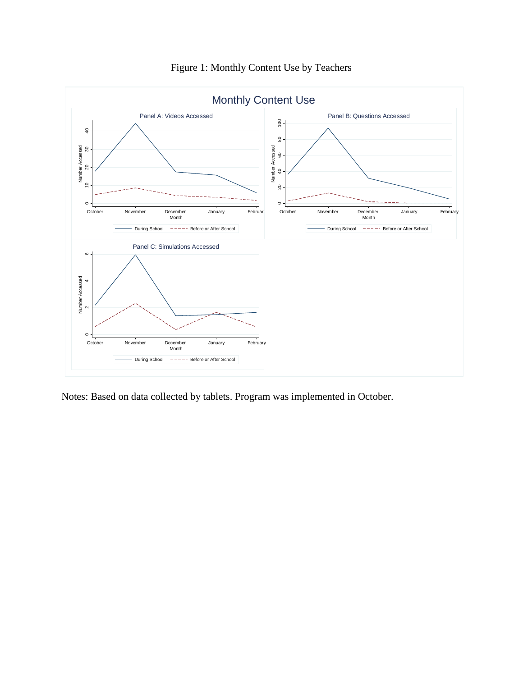

Figure 1: Monthly Content Use by Teachers

Notes: Based on data collected by tablets. Program was implemented in October.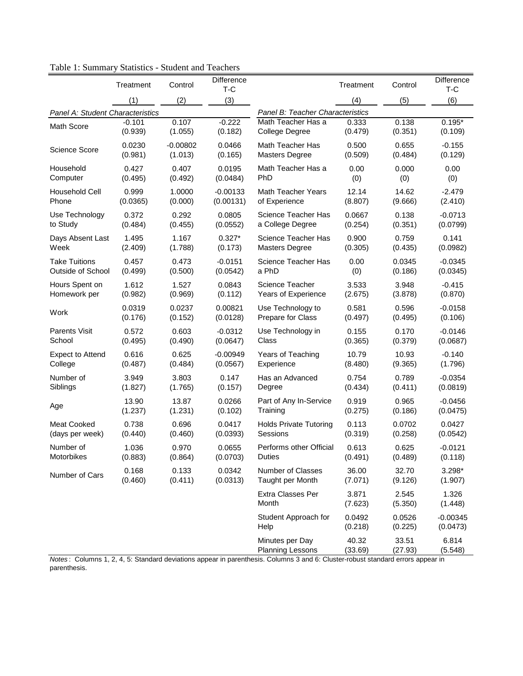|                                  | Treatment | Control    | <b>Difference</b><br>T-C |                                                                                                                                                                               | Treatment         | Control           | Difference<br>T-C      |
|----------------------------------|-----------|------------|--------------------------|-------------------------------------------------------------------------------------------------------------------------------------------------------------------------------|-------------------|-------------------|------------------------|
|                                  | (1)       | (2)        | (3)                      |                                                                                                                                                                               | (4)               | (5)               | (6)                    |
| Panel A: Student Characteristics |           |            |                          | Panel B: Teacher Characteristics                                                                                                                                              |                   |                   |                        |
| <b>Math Score</b>                | $-0.101$  | 0.107      | $-0.222$                 | Math Teacher Has a                                                                                                                                                            | 0.333             | 0.138             | $0.195*$               |
|                                  | (0.939)   | (1.055)    | (0.182)                  | <b>College Degree</b>                                                                                                                                                         | (0.479)           | (0.351)           | (0.109)                |
| <b>Science Score</b>             | 0.0230    | $-0.00802$ | 0.0466                   | Math Teacher Has                                                                                                                                                              | 0.500             | 0.655             | $-0.155$               |
|                                  | (0.981)   | (1.013)    | (0.165)                  | <b>Masters Degree</b>                                                                                                                                                         | (0.509)           | (0.484)           | (0.129)                |
| Household                        | 0.427     | 0.407      | 0.0195                   | Math Teacher Has a                                                                                                                                                            | 0.00              | 0.000             | 0.00                   |
| Computer                         | (0.495)   | (0.492)    | (0.0484)                 | PhD                                                                                                                                                                           | (0)               | (0)               | (0)                    |
| <b>Household Cell</b>            | 0.999     | 1.0000     | $-0.00133$               | Math Teacher Years                                                                                                                                                            | 12.14             | 14.62             | $-2.479$               |
| Phone                            | (0.0365)  | (0.000)    | (0.00131)                | of Experience                                                                                                                                                                 | (8.807)           | (9.666)           | (2.410)                |
| Use Technology                   | 0.372     | 0.292      | 0.0805                   | Science Teacher Has                                                                                                                                                           | 0.0667            | 0.138             | -0.0713                |
| to Study                         | (0.484)   | (0.455)    | (0.0552)                 | a College Degree                                                                                                                                                              | (0.254)           | (0.351)           | (0.0799)               |
| Days Absent Last                 | 1.495     | 1.167      | $0.327*$                 | Science Teacher Has                                                                                                                                                           | 0.900             | 0.759             | 0.141                  |
| Week                             | (2.409)   | (1.788)    | (0.173)                  | <b>Masters Degree</b>                                                                                                                                                         | (0.305)           | (0.435)           | (0.0982)               |
| <b>Take Tuitions</b>             | 0.457     | 0.473      | $-0.0151$                | Science Teacher Has                                                                                                                                                           | 0.00              | 0.0345            | $-0.0345$              |
| Outside of School                | (0.499)   | (0.500)    | (0.0542)                 | a PhD                                                                                                                                                                         | (0)               | (0.186)           | (0.0345)               |
| Hours Spent on                   | 1.612     | 1.527      | 0.0843                   | Science Teacher                                                                                                                                                               | 3.533             | 3.948             | $-0.415$               |
| Homework per                     | (0.982)   | (0.969)    | (0.112)                  | Years of Experience                                                                                                                                                           | (2.675)           | (3.878)           | (0.870)                |
| Work                             | 0.0319    | 0.0237     | 0.00821                  | Use Technology to                                                                                                                                                             | 0.581             | 0.596             | $-0.0158$              |
|                                  | (0.176)   | (0.152)    | (0.0128)                 | Prepare for Class                                                                                                                                                             | (0.497)           | (0.495)           | (0.106)                |
| <b>Parents Visit</b>             | 0.572     | 0.603      | $-0.0312$                | Use Technology in                                                                                                                                                             | 0.155             | 0.170             | $-0.0146$              |
| School                           | (0.495)   | (0.490)    | (0.0647)                 | Class                                                                                                                                                                         | (0.365)           | (0.379)           | (0.0687)               |
| <b>Expect to Attend</b>          | 0.616     | 0.625      | $-0.00949$               | Years of Teaching                                                                                                                                                             | 10.79             | 10.93             | $-0.140$               |
| College                          | (0.487)   | (0.484)    | (0.0567)                 | Experience                                                                                                                                                                    | (8.480)           | (9.365)           | (1.796)                |
| Number of                        | 3.949     | 3.803      | 0.147                    | Has an Advanced                                                                                                                                                               | 0.754             | 0.789             | $-0.0354$              |
| Siblings                         | (1.827)   | (1.765)    | (0.157)                  | Degree                                                                                                                                                                        | (0.434)           | (0.411)           | (0.0819)               |
| Age                              | 13.90     | 13.87      | 0.0266                   | Part of Any In-Service                                                                                                                                                        | 0.919             | 0.965             | $-0.0456$              |
|                                  | (1.237)   | (1.231)    | (0.102)                  | Training                                                                                                                                                                      | (0.275)           | (0.186)           | (0.0475)               |
| <b>Meat Cooked</b>               | 0.738     | 0.696      | 0.0417                   | <b>Holds Private Tutoring</b>                                                                                                                                                 | 0.113             | 0.0702            | 0.0427                 |
| (days per week)                  | (0.440)   | (0.460)    | (0.0393)                 | Sessions                                                                                                                                                                      | (0.319)           | (0.258)           | (0.0542)               |
| Number of                        | 1.036     | 0.970      | 0.0655                   | Performs other Official                                                                                                                                                       | 0.613             | 0.625             | $-0.0121$              |
| Motorbikes                       | (0.883)   | (0.864)    | (0.0703)                 | Duties                                                                                                                                                                        | (0.491)           | (0.489)           | (0.118)                |
| Number of Cars                   | 0.168     | 0.133      | 0.0342                   | <b>Number of Classes</b>                                                                                                                                                      | 36.00             | 32.70             | $3.298*$               |
|                                  | (0.460)   | (0.411)    | (0.0313)                 | Taught per Month                                                                                                                                                              | (7.071)           | (9.126)           | (1.907)                |
|                                  |           |            |                          | Extra Classes Per<br>Month                                                                                                                                                    | 3.871<br>(7.623)  | 2.545<br>(5.350)  | 1.326<br>(1.448)       |
|                                  |           |            |                          | Student Approach for<br>Help                                                                                                                                                  | 0.0492<br>(0.218) | 0.0526<br>(0.225) | $-0.00345$<br>(0.0473) |
|                                  |           |            |                          | Minutes per Day<br><b>Planning Lessons</b><br>Mates: Columns 1, 2, 4, 5; Standard deviations annear in parenthesis, Columns 3 and 6; Cluster-robust standard errors annear in | 40.32<br>(33.69)  | 33.51<br>(27.93)  | 6.814<br>(5.548)       |

Table 1: Summary Statistics - Student and Teachers

*Notes* : Columns 1, 2, 4, 5: Standard deviations appear in parenthesis. Columns 3 and 6: Cluster-robust standard errors appear in parenthesis.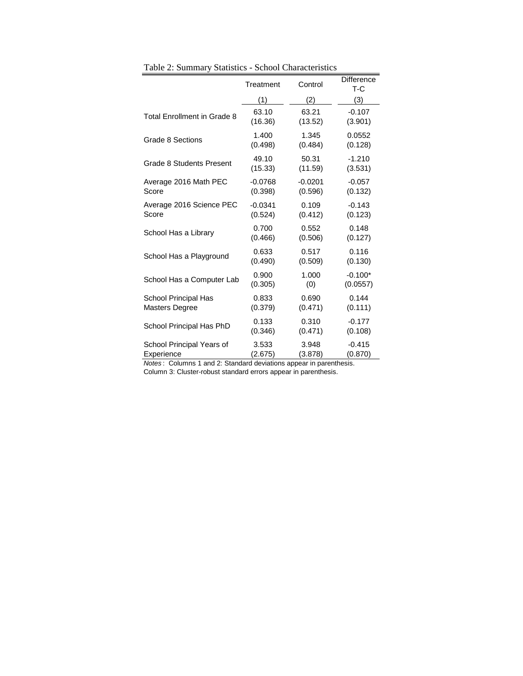|                                    | Treatment | Control   | <b>Difference</b><br>$T-C$ |
|------------------------------------|-----------|-----------|----------------------------|
|                                    | (1)       | (2)       | (3)                        |
| <b>Total Enrollment in Grade 8</b> | 63.10     | 63.21     | $-0.107$                   |
|                                    | (16.36)   | (13.52)   | (3.901)                    |
| Grade 8 Sections                   | 1.400     | 1.345     | 0.0552                     |
|                                    | (0.498)   | (0.484)   | (0.128)                    |
| Grade 8 Students Present           | 49.10     | 50.31     | $-1.210$                   |
|                                    | (15.33)   | (11.59)   | (3.531)                    |
| Average 2016 Math PEC              | $-0.0768$ | $-0.0201$ | $-0.057$                   |
| Score                              | (0.398)   | (0.596)   | (0.132)                    |
| Average 2016 Science PEC           | $-0.0341$ | 0.109     | $-0.143$                   |
| Score                              | (0.524)   | (0.412)   | (0.123)                    |
| School Has a Library               | 0.700     | 0.552     | 0.148                      |
|                                    | (0.466)   | (0.506)   | (0.127)                    |
| School Has a Playground            | 0.633     | 0.517     | 0.116                      |
|                                    | (0.490)   | (0.509)   | (0.130)                    |
| School Has a Computer Lab          | 0.900     | 1.000     | $-0.100*$                  |
|                                    | (0.305)   | (0)       | (0.0557)                   |
| School Principal Has               | 0.833     | 0.690     | 0.144                      |
| <b>Masters Degree</b>              | (0.379)   | (0.471)   | (0.111)                    |
| School Principal Has PhD           | 0.133     | 0.310     | $-0.177$                   |
|                                    | (0.346)   | (0.471)   | (0.108)                    |
| School Principal Years of          | 3.533     | 3.948     | $-0.415$                   |
| Experience                         | (2.675)   | (3.878)   | (0.870)                    |

Table 2: Summary Statistics - School Characteristics

*Notes* : Columns 1 and 2: Standard deviations appear in parenthesis. Column 3: Cluster-robust standard errors appear in parenthesis.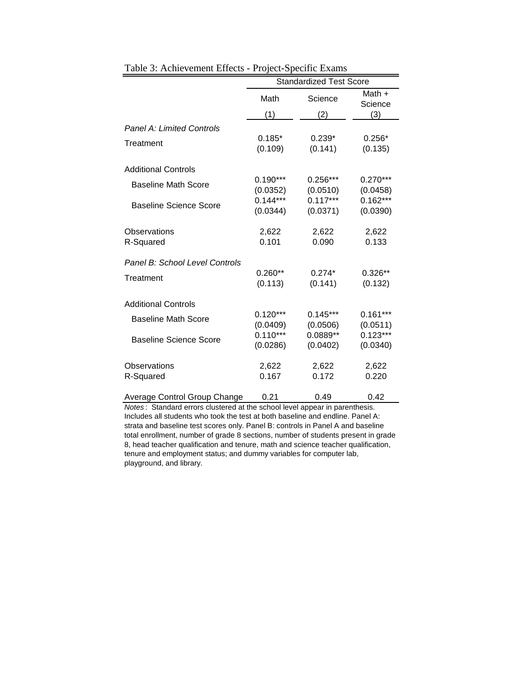|                                | <b>Standardized Test Score</b> |            |                     |  |  |
|--------------------------------|--------------------------------|------------|---------------------|--|--|
|                                | Math                           | Science    | Math $+$<br>Science |  |  |
|                                | (1)                            | '2١        | (3)                 |  |  |
| Panel A: Limited Controls      |                                |            |                     |  |  |
| Treatment                      | $0.185*$                       | $0.239*$   | $0.256*$            |  |  |
|                                | (0.109)                        | (0.141)    | (0.135)             |  |  |
| <b>Additional Controls</b>     |                                |            |                     |  |  |
| <b>Baseline Math Score</b>     | $0.190***$                     | $0.256***$ | $0.270***$          |  |  |
|                                | (0.0352)                       | (0.0510)   | (0.0458)            |  |  |
| <b>Baseline Science Score</b>  | $0.144***$                     | $0.117***$ | $0.162***$          |  |  |
|                                | (0.0344)                       | (0.0371)   | (0.0390)            |  |  |
| Observations                   | 2,622                          | 2,622      | 2,622               |  |  |
| R-Squared                      | 0.101                          | 0.090      | 0.133               |  |  |
| Panel B: School Level Controls |                                |            |                     |  |  |
| Treatment                      | $0.260**$                      | $0.274*$   | $0.326**$           |  |  |
|                                | (0.113)                        | (0.141)    | (0.132)             |  |  |
| <b>Additional Controls</b>     |                                |            |                     |  |  |
| <b>Baseline Math Score</b>     | $0.120***$                     | $0.145***$ | $0.161***$          |  |  |
|                                | (0.0409)                       | (0.0506)   | (0.0511)            |  |  |
| Baseline Science Score         | $0.110***$                     | 0.0889**   | $0.123***$          |  |  |
|                                | (0.0286)                       | (0.0402)   | (0.0340)            |  |  |
| Observations                   | 2,622                          | 2,622      | 2,622               |  |  |
| R-Squared                      | 0.167                          | 0.172      | 0.220               |  |  |
|                                |                                |            |                     |  |  |
| Average Control Group Change   | 0.21                           | 0.49       | 0.42                |  |  |

Table 3: Achievement Effects - Project-Specific Exams

*Notes* : Standard errors clustered at the school level appear in parenthesis. Includes all students who took the test at both baseline and endline. Panel A: strata and baseline test scores only. Panel B: controls in Panel A and baseline total enrollment, number of grade 8 sections, number of students present in grade 8, head teacher qualification and tenure, math and science teacher qualification, tenure and employment status; and dummy variables for computer lab, playground, and library.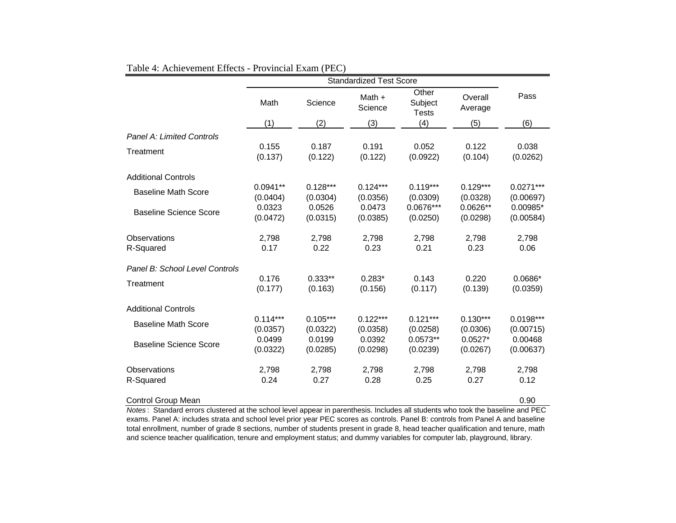|                                  | <b>Standardized Test Score</b> |                        |                        |                                  |                        |                          |  |
|----------------------------------|--------------------------------|------------------------|------------------------|----------------------------------|------------------------|--------------------------|--|
|                                  | Math                           | Science                | Math +<br>Science      | Other<br>Subject<br><b>Tests</b> | Overall<br>Average     | Pass                     |  |
|                                  | (1)                            | (2)                    | (3)                    | (4)                              | (5)                    | (6)                      |  |
| <b>Panel A: Limited Controls</b> |                                |                        |                        |                                  |                        |                          |  |
| Treatment                        | 0.155<br>(0.137)               | 0.187<br>(0.122)       | 0.191<br>(0.122)       | 0.052<br>(0.0922)                | 0.122<br>(0.104)       | 0.038<br>(0.0262)        |  |
| <b>Additional Controls</b>       |                                |                        |                        |                                  |                        |                          |  |
| <b>Baseline Math Score</b>       | $0.0941**$<br>(0.0404)         | $0.128***$<br>(0.0304) | $0.124***$<br>(0.0356) | $0.119***$<br>(0.0309)           | $0.129***$<br>(0.0328) | $0.0271***$<br>(0.00697) |  |
| <b>Baseline Science Score</b>    | 0.0323<br>(0.0472)             | 0.0526<br>(0.0315)     | 0.0473<br>(0.0385)     | $0.0676***$<br>(0.0250)          | $0.0626**$<br>(0.0298) | $0.00985*$<br>(0.00584)  |  |
| Observations<br>R-Squared        | 2,798<br>0.17                  | 2,798<br>0.22          | 2,798<br>0.23          | 2,798<br>0.21                    | 2,798<br>0.23          | 2,798<br>0.06            |  |
| Panel B: School Level Controls   |                                |                        |                        |                                  |                        |                          |  |
| Treatment                        | 0.176<br>(0.177)               | $0.333**$<br>(0.163)   | $0.283*$<br>(0.156)    | 0.143<br>(0.117)                 | 0.220<br>(0.139)       | $0.0686*$<br>(0.0359)    |  |
| <b>Additional Controls</b>       |                                |                        |                        |                                  |                        |                          |  |
| <b>Baseline Math Score</b>       | $0.114***$<br>(0.0357)         | $0.105***$<br>(0.0322) | $0.122***$<br>(0.0358) | $0.121***$<br>(0.0258)           | $0.130***$<br>(0.0306) | $0.0198***$<br>(0.00715) |  |
| <b>Baseline Science Score</b>    | 0.0499<br>(0.0322)             | 0.0199<br>(0.0285)     | 0.0392<br>(0.0298)     | $0.0573**$<br>(0.0239)           | $0.0527*$<br>(0.0267)  | 0.00468<br>(0.00637)     |  |
| Observations                     | 2,798                          | 2,798                  | 2,798                  | 2,798                            | 2,798                  | 2,798                    |  |
| R-Squared                        | 0.24                           | 0.27                   | 0.28                   | 0.25                             | 0.27                   | 0.12                     |  |
| Control Group Mean               |                                |                        |                        |                                  |                        | 0.90                     |  |

#### Table 4: Achievement Effects - Provincial Exam (PEC)

*Notes* : Standard errors clustered at the school level appear in parenthesis. Includes all students who took the baseline and PEC exams. Panel A: includes strata and school level prior year PEC scores as controls. Panel B: controls from Panel A and baseline total enrollment, number of grade 8 sections, number of students present in grade 8, head teacher qualification and tenure, math and science teacher qualification, tenure and employment status; and dummy variables for computer lab, playground, library.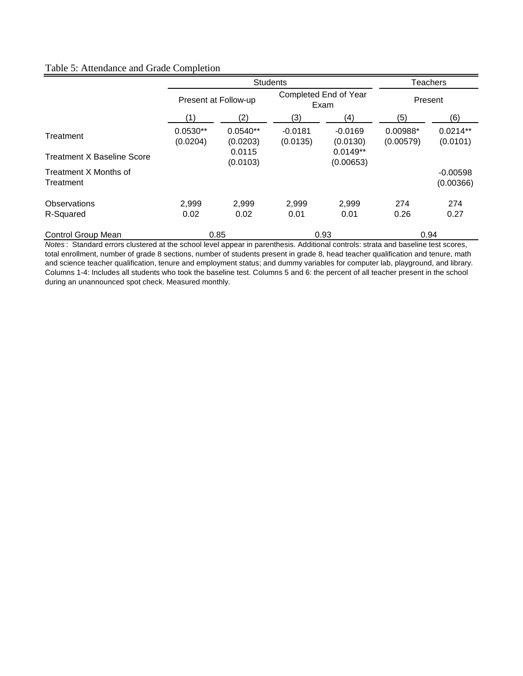## Table 5: Attendance and Grade Completion

|                                    |                        | <b>Students</b>        | <b>Teachers</b>               |                         |                       |                         |
|------------------------------------|------------------------|------------------------|-------------------------------|-------------------------|-----------------------|-------------------------|
|                                    | Present at Follow-up   |                        | Completed End of Year<br>Exam |                         | Present               |                         |
|                                    | (1)                    | (2)                    | (3)                           | (4)                     | (5)                   | (6)                     |
| Treatment                          | $0.0530**$<br>(0.0204) | $0.0540**$<br>(0.0203) | $-0.0181$<br>(0.0135)         | $-0.0169$<br>(0.0130)   | 0.00988*<br>(0.00579) | $0.0214**$<br>(0.0101)  |
| <b>Treatment X Baseline Score</b>  |                        | 0.0115<br>(0.0103)     |                               | $0.0149**$<br>(0.00653) |                       |                         |
| Treatment X Months of<br>Treatment |                        |                        |                               |                         |                       | $-0.00598$<br>(0.00366) |
| Observations                       | 2,999                  | 2,999                  | 2.999                         | 2,999                   | 274                   | 274                     |
| R-Squared                          | 0.02                   | 0.02                   | 0.01                          | 0.01                    | 0.26                  | 0.27                    |
| Control Group Mean                 | 0.85                   |                        | 0.93                          |                         | 0.94                  |                         |

*Notes* : Standard errors clustered at the school level appear in parenthesis. Additional controls: strata and baseline test scores, total enrollment, number of grade 8 sections, number of students present in grade 8, head teacher qualification and tenure, math and science teacher qualification, tenure and employment status; and dummy variables for computer lab, playground, and library. Columns 1-4: Includes all students who took the baseline test. Columns 5 and 6: the percent of all teacher present in the school during an unannounced spot check. Measured monthly.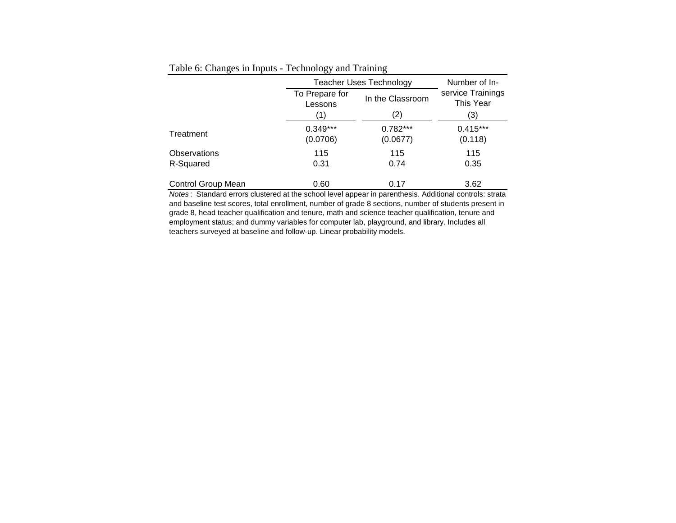|                           |                           | <b>Teacher Uses Technology</b> |                                |  |  |  |
|---------------------------|---------------------------|--------------------------------|--------------------------------|--|--|--|
|                           | To Prepare for<br>Lessons | In the Classroom               | service Trainings<br>This Year |  |  |  |
|                           | (1)                       | (2)                            | (3)                            |  |  |  |
| Treatment                 | $0.349***$<br>(0.0706)    | $0.782***$<br>(0.0677)         | $0.415***$<br>(0.118)          |  |  |  |
| Observations<br>R-Squared | 115<br>0.31               | 115<br>0.74                    | 115<br>0.35                    |  |  |  |
| Control Group Mean        | 0.60                      | 0.17                           | 3.62                           |  |  |  |

Table 6: Changes in Inputs - Technology and Training

*Notes* : Standard errors clustered at the school level appear in parenthesis. Additional controls: strata and baseline test scores, total enrollment, number of grade 8 sections, number of students present in grade 8, head teacher qualification and tenure, math and science teacher qualification, tenure and employment status; and dummy variables for computer lab, playground, and library. Includes all teachers surveyed at baseline and follow-up. Linear probability models.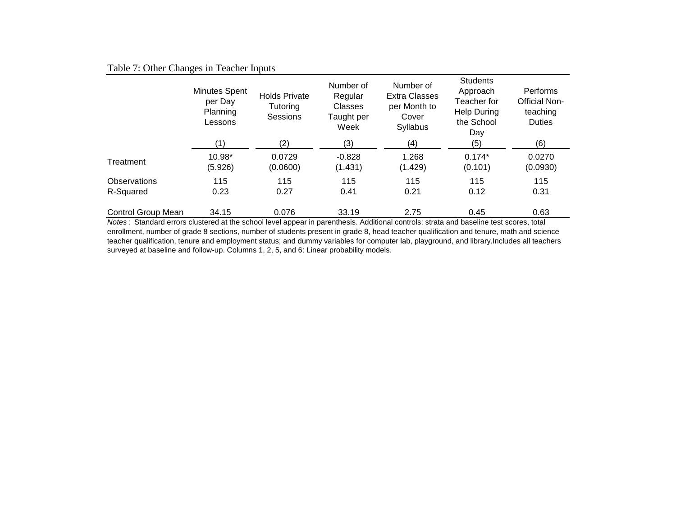## Table 7: Other Changes in Teacher Inputs

|                           | Minutes Spent<br>per Day<br>Planning<br>Lessons | <b>Holds Private</b><br>Tutoring<br>Sessions | Number of<br>Regular<br><b>Classes</b><br>Taught per<br>Week | Number of<br><b>Extra Classes</b><br>per Month to<br>Cover<br>Syllabus | <b>Students</b><br>Approach<br>Teacher for<br><b>Help During</b><br>the School<br>Day | Performs<br>Official Non-<br>teaching<br><b>Duties</b> |
|---------------------------|-------------------------------------------------|----------------------------------------------|--------------------------------------------------------------|------------------------------------------------------------------------|---------------------------------------------------------------------------------------|--------------------------------------------------------|
|                           | '1)                                             | (2)                                          | (3)                                                          | (4)                                                                    | (5)                                                                                   | (6)                                                    |
| Treatment                 | 10.98*<br>(5.926)                               | 0.0729<br>(0.0600)                           | $-0.828$<br>(1.431)                                          | 1.268<br>(1.429)                                                       | $0.174*$<br>(0.101)                                                                   | 0.0270<br>(0.0930)                                     |
| Observations              | 115                                             | 115                                          | 115                                                          | 115                                                                    | 115                                                                                   | 115                                                    |
| R-Squared                 | 0.23                                            | 0.27                                         | 0.41                                                         | 0.21                                                                   | 0.12                                                                                  | 0.31                                                   |
| <b>Control Group Mean</b> | 34.15                                           | 0.076                                        | 33.19                                                        | 2.75                                                                   | 0.45                                                                                  | 0.63                                                   |

*Notes* : Standard errors clustered at the school level appear in parenthesis. Additional controls: strata and baseline test scores, total enrollment, number of grade 8 sections, number of students present in grade 8, head teacher qualification and tenure, math and science teacher qualification, tenure and employment status; and dummy variables for computer lab, playground, and library.Includes all teachers surveyed at baseline and follow-up. Columns 1, 2, 5, and 6: Linear probability models.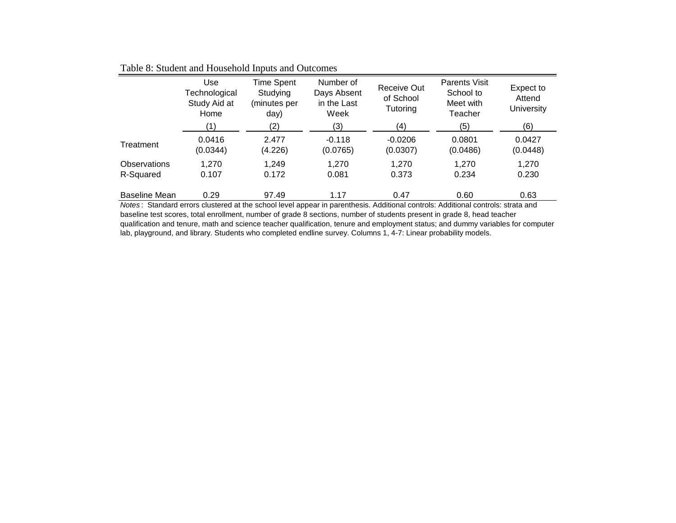|                           | Use<br>Technological<br>Study Aid at<br>Home | <b>Time Spent</b><br>Studying<br>(minutes per<br>day) | Number of<br>Days Absent<br>in the Last<br>Week | Receive Out<br>of School<br>Tutoring | <b>Parents Visit</b><br>School to<br>Meet with<br>Teacher | Expect to<br>Attend<br><b>University</b> |
|---------------------------|----------------------------------------------|-------------------------------------------------------|-------------------------------------------------|--------------------------------------|-----------------------------------------------------------|------------------------------------------|
|                           | (1)                                          | (2)                                                   | (3)                                             | (4)                                  | (5)                                                       | (6)                                      |
| Treatment                 | 0.0416<br>(0.0344)                           | 2.477<br>(4.226)                                      | $-0.118$<br>(0.0765)                            | $-0.0206$<br>(0.0307)                | 0.0801<br>(0.0486)                                        | 0.0427<br>(0.0448)                       |
| Observations<br>R-Squared | 1,270<br>0.107                               | 1,249<br>0.172                                        | 1,270<br>0.081                                  | 1,270<br>0.373                       | 1,270<br>0.234                                            | 1,270<br>0.230                           |
| <b>Baseline Mean</b>      | 0.29                                         | 97.49                                                 | 1.17                                            | 0.47                                 | 0.60                                                      | 0.63                                     |

Table 8: Student and Household Inputs and Outcomes

*Notes* : Standard errors clustered at the school level appear in parenthesis. Additional controls: Additional controls: strata and baseline test scores, total enrollment, number of grade 8 sections, number of students present in grade 8, head teacher qualification and tenure, math and science teacher qualification, tenure and employment status; and dummy variables for computer lab, playground, and library. Students who completed endline survey. Columns 1, 4-7: Linear probability models.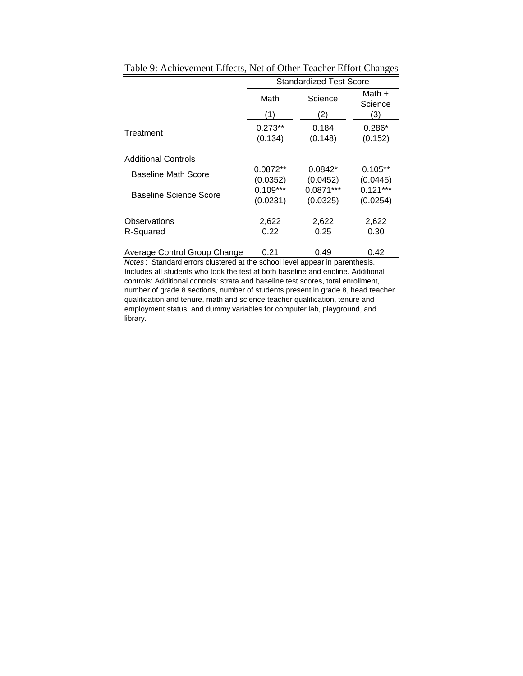|                              | <b>Standardized Test Score</b> |                       |                        |  |  |  |
|------------------------------|--------------------------------|-----------------------|------------------------|--|--|--|
|                              | Math                           | Science               | Math +<br>Science      |  |  |  |
|                              | (1)                            | (2)                   | (3)                    |  |  |  |
| Treatment                    | $0.273**$<br>(0.134)           | 0.184<br>(0.148)      | $0.286*$<br>(0.152)    |  |  |  |
| <b>Additional Controls</b>   |                                |                       |                        |  |  |  |
| <b>Baseline Math Score</b>   | $0.0872**$<br>(0.0352)         | $0.0842*$<br>(0.0452) | $0.105**$<br>(0.0445)  |  |  |  |
| Baseline Science Score       | $0.109***$<br>(0.0231)         | 0.0871***<br>(0.0325) | $0.121***$<br>(0.0254) |  |  |  |
| Observations<br>R-Squared    | 2,622<br>0.22                  | 2,622<br>0.25         | 2,622<br>0.30          |  |  |  |
| Average Control Group Change | 0.21                           | 0.49                  | 0.42                   |  |  |  |

Table 9: Achievement Effects, Net of Other Teacher Effort Changes

*Notes* : Standard errors clustered at the school level appear in parenthesis. Includes all students who took the test at both baseline and endline. Additional controls: Additional controls: strata and baseline test scores, total enrollment, number of grade 8 sections, number of students present in grade 8, head teacher qualification and tenure, math and science teacher qualification, tenure and employment status; and dummy variables for computer lab, playground, and library.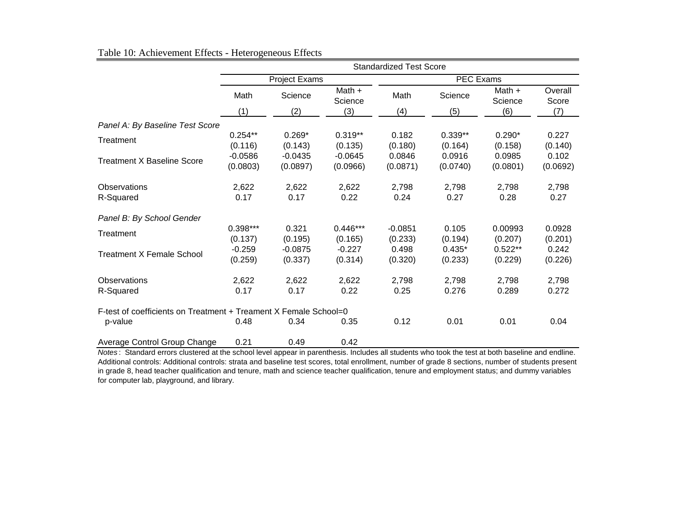|                                                                  | <b>Standardized Test Score</b> |                       |                       |                      |                      |                      |                   |  |
|------------------------------------------------------------------|--------------------------------|-----------------------|-----------------------|----------------------|----------------------|----------------------|-------------------|--|
|                                                                  |                                | <b>Project Exams</b>  |                       | <b>PEC Exams</b>     |                      |                      |                   |  |
|                                                                  | Math                           | Science               | Math +<br>Science     | Math                 | Science              | Math +<br>Science    | Overall<br>Score  |  |
|                                                                  | (1)                            | (2)                   | (3)                   | (4)                  | (5)                  | (6)                  | (7)               |  |
| Panel A: By Baseline Test Score                                  |                                |                       |                       |                      |                      |                      |                   |  |
| Treatment                                                        | $0.254**$<br>(0.116)           | $0.269*$<br>(0.143)   | $0.319**$<br>(0.135)  | 0.182<br>(0.180)     | $0.339**$<br>(0.164) | $0.290*$<br>(0.158)  | 0.227<br>(0.140)  |  |
| <b>Treatment X Baseline Score</b>                                | $-0.0586$<br>(0.0803)          | $-0.0435$<br>(0.0897) | $-0.0645$<br>(0.0966) | 0.0846<br>(0.0871)   | 0.0916<br>(0.0740)   | 0.0985<br>(0.0801)   | 0.102<br>(0.0692) |  |
| <b>Observations</b><br>R-Squared                                 | 2,622<br>0.17                  | 2,622<br>0.17         | 2,622<br>0.22         | 2,798<br>0.24        | 2,798<br>0.27        | 2,798<br>0.28        | 2,798<br>0.27     |  |
| Panel B: By School Gender                                        |                                |                       |                       |                      |                      |                      |                   |  |
| Treatment                                                        | 0.398***<br>(0.137)            | 0.321<br>(0.195)      | $0.446***$<br>(0.165) | $-0.0851$<br>(0.233) | 0.105<br>(0.194)     | 0.00993<br>(0.207)   | 0.0928<br>(0.201) |  |
| <b>Treatment X Female School</b>                                 | $-0.259$<br>(0.259)            | $-0.0875$<br>(0.337)  | $-0.227$<br>(0.314)   | 0.498<br>(0.320)     | $0.435*$<br>(0.233)  | $0.522**$<br>(0.229) | 0.242<br>(0.226)  |  |
| Observations<br>R-Squared                                        | 2,622<br>0.17                  | 2,622<br>0.17         | 2,622<br>0.22         | 2,798<br>0.25        | 2,798<br>0.276       | 2,798<br>0.289       | 2,798<br>0.272    |  |
| F-test of coefficients on Treatment + Treament X Female School=0 | 0.48                           | 0.34                  | 0.35                  | 0.12                 | 0.01                 | 0.01                 |                   |  |
| p-value<br>Average Control Group Change                          | 0.21                           | 0.49                  | 0.42                  |                      |                      |                      | 0.04              |  |

## Table 10: Achievement Effects - Heterogeneous Effects

*Notes* : Standard errors clustered at the school level appear in parenthesis. Includes all students who took the test at both baseline and endline. Additional controls: Additional controls: strata and baseline test scores, total enrollment, number of grade 8 sections, number of students present in grade 8, head teacher qualification and tenure, math and science teacher qualification, tenure and employment status; and dummy variables for computer lab, playground, and library.